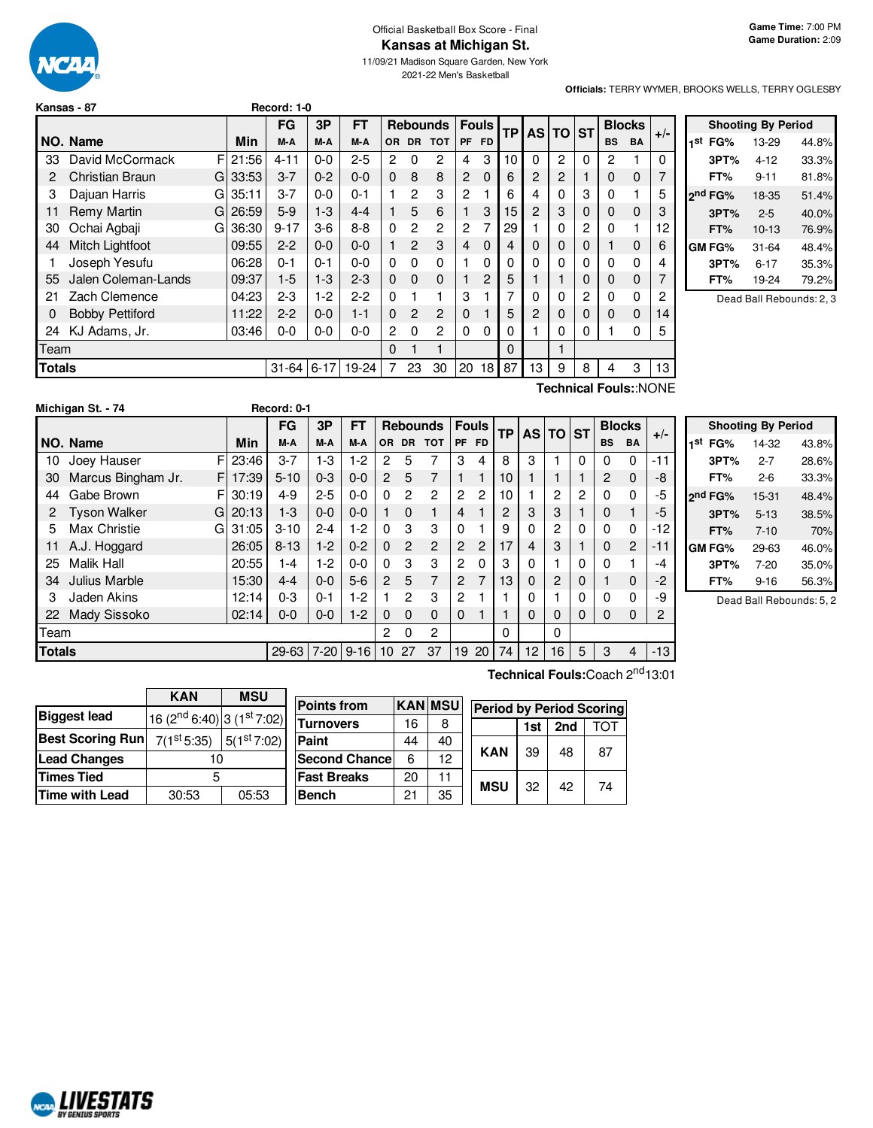

## Official Basketball Box Score - Final **Kansas at Michigan St.**

11/09/21 Madison Square Garden, New York 2021-22 Men's Basketball

**Officials:** TERRY WYMER, BROOKS WELLS, TERRY OGLESBY

| Kansas - 87 | Record: 1-0 |
|-------------|-------------|
|             |             |

|               |                             |            | FG        | 3P       | <b>FT</b> |                |                | <b>Rebounds</b> |          | <b>Fouls</b>    | <b>TP</b> |                | AS TO ST       |             | <b>Blocks</b> |           | $+/-$ |
|---------------|-----------------------------|------------|-----------|----------|-----------|----------------|----------------|-----------------|----------|-----------------|-----------|----------------|----------------|-------------|---------------|-----------|-------|
|               | NO. Name                    | Min        | M-A       | M-A      | M-A       | <b>OR</b>      | <b>DR</b>      | <b>TOT</b>      | PF.      | <b>FD</b>       |           |                |                |             | <b>BS</b>     | <b>BA</b> |       |
| 33            | David McCormack             | F<br>21:56 | $4 - 11$  | $0 - 0$  | $2 - 5$   | 2              | 0              | 2               | 4        | 3               | 10        | 0              | 2              | $\Omega$    | 2             | 1         | 0     |
| 2             | <b>Christian Braun</b><br>G | 33:53      | $3 - 7$   | $0 - 2$  | $0 - 0$   | $\Omega$       | 8              | 8               | 2        | 0               | 6         | 2              | $\overline{2}$ |             | 0             | 0         |       |
| 3             | Dajuan Harris<br>G          | 35:11      | $3 - 7$   | $0 - 0$  | $0 - 1$   |                | $\mathcal{P}$  | 3               | 2        |                 | 6         | 4              | $\Omega$       | 3           | 0             | 1         | 5     |
| 11            | Remy Martin<br>G            | 26:59      | $5-9$     | $1-3$    | $4 - 4$   |                | 5              | 6               | 1        | 3               | 15        | $\overline{2}$ | 3              | $\Omega$    | 0             | 0         | 3     |
| 30            | Ochai Agbaji<br>G           | 36:30      | $9 - 17$  | $3-6$    | $8 - 8$   | 0              | $\overline{2}$ | $\mathcal{P}$   | 2        |                 | 29        | 1              | $\Omega$       | 2           | 0             | 1         | 12    |
| 44            | Mitch Lightfoot             | 09:55      | $2 - 2$   | $0 - 0$  | $0 - 0$   |                | $\mathcal{P}$  | 3               | 4        | $\Omega$        | 4         | $\mathbf 0$    | $\Omega$       | $\Omega$    |               | 0         | 6     |
|               | Joseph Yesufu               | 06:28      | $0 - 1$   | $0 - 1$  | $0 - 0$   | $\Omega$       | 0              | 0               |          | 0               | $\Omega$  | $\mathbf{0}$   | $\mathbf{0}$   | $\Omega$    | 0             | 0         |       |
| 55            | Jalen Coleman-Lands         | 09:37      | $1-5$     | 1-3      | $2 - 3$   | $\Omega$       | $\Omega$       | 0               |          | 2               | 5         |                |                | $\mathbf 0$ | 0             | 0         |       |
| 21            | Zach Clemence               | 04:23      | $2 - 3$   | 1-2      | $2-2$     | $\Omega$       |                | 1               | 3        |                 | 7         | $\mathbf{0}$   | $\Omega$       | 2           | 0             | 0         | 2     |
| $\Omega$      | <b>Bobby Pettiford</b>      | 11:22      | $2 - 2$   | $0 - 0$  | $1 - 1$   | $\Omega$       | $\mathcal{P}$  | $\mathcal{P}$   | $\Omega$ |                 | 5         | $\overline{2}$ | 0              | $\Omega$    | 0             | $\Omega$  | 14    |
| 24            | KJ Adams, Jr.               | 03:46      | $0-0$     | $0-0$    | $0 - 0$   | $\overline{c}$ | 0              | $\overline{c}$  | $\Omega$ | 0               | $\Omega$  | 1              | $\Omega$       | 0           |               | 0         | 5     |
| Team          |                             |            |           |          |           | $\Omega$       |                | 1               |          |                 | $\Omega$  |                |                |             |               |           |       |
| <b>Totals</b> |                             |            | $31 - 64$ | $6 - 17$ | 19-24     |                | 23             | 30              | 20       | 18 <sup>1</sup> | 87        | 13             | 9              | 8           | 4             | 3         | 13    |

| <b>Shooting By Period</b> |                     |           |       |  |  |  |  |  |  |  |
|---------------------------|---------------------|-----------|-------|--|--|--|--|--|--|--|
| 1st                       | FG%                 | 13-29     | 44.8% |  |  |  |  |  |  |  |
|                           | 3PT%                | 4-12      | 33.3% |  |  |  |  |  |  |  |
|                           | FT%                 | $9 - 11$  | 81.8% |  |  |  |  |  |  |  |
|                           | 2 <sup>nd</sup> FG% | 18-35     | 51.4% |  |  |  |  |  |  |  |
|                           | 3PT%                | $2 - 5$   | 40.0% |  |  |  |  |  |  |  |
|                           | FT%                 | $10 - 13$ | 76.9% |  |  |  |  |  |  |  |
|                           | GM FG%              | $31 - 64$ | 48.4% |  |  |  |  |  |  |  |
|                           | 3PT%                | $6 - 17$  | 35.3% |  |  |  |  |  |  |  |
|                           | FT%                 | 19-24     | 79.2% |  |  |  |  |  |  |  |
|                           |                     |           |       |  |  |  |  |  |  |  |

Dead Ball Rebounds: 2, 3

|     |                    |          |             |         |         |           |           |                 |   |              |           |   |          |   |           |               | Technical Fouls::NONE |
|-----|--------------------|----------|-------------|---------|---------|-----------|-----------|-----------------|---|--------------|-----------|---|----------|---|-----------|---------------|-----------------------|
|     | Michigan St. - 74  |          | Record: 0-1 |         |         |           |           |                 |   |              |           |   |          |   |           |               |                       |
|     |                    |          | FG          | 3P      | FT      |           |           | <b>Rebounds</b> |   | <b>Fouls</b> | <b>TP</b> |   | AS TO ST |   |           | <b>Blocks</b> |                       |
|     | NO. Name           | Min      | M-A         | M-A     | M-A     | <b>OR</b> | <b>DR</b> | <b>TOT</b>      |   | PF FD        |           |   |          |   | <b>BS</b> | <b>BA</b>     | $+/-$                 |
| 10  | Joey Hauser        | FI 23:46 | $3 - 7$     | 1-3     | $1-2$   | 2         | 5         |                 | 3 |              | 8         | 3 |          |   |           |               | $-11$                 |
| -30 | Marcus Bingham Jr. | FI 17:39 | $5 - 10$    | $0 - 3$ | $0 - 0$ | 2         | 5         |                 |   |              |           |   |          |   | 2         | 0             | -8                    |
| 44  | Gabe Brown         | FI 30:19 | 4-9         | $2 - 5$ | $0-0$   | 0         | 2         | 2               | 2 | 2            |           |   | っ        | 2 |           | 0             | -5                    |
|     | Tyson Walker       | GI 20:13 | 1-3         | $0 - 0$ | $0 - 0$ |           |           |                 | 4 |              | 2         | 3 | 3        |   | 0         |               | -5                    |
| 5   | Max Christie       | GI 31:05 | $3 - 10$    | $2 - 4$ | $1-2$   |           | 3         | 3               |   |              | 9         |   | っ        |   |           |               | $-12$                 |

34 Julius Marble 15:30 4-4 0-0 5-6 2 5 7 2 7 13 0 2 0 1 0 -2 3 Jaden Akins 12:14 0-3 0-1 1-2 1 2 3 2 1 1 0 1 0 0 0 -9

|                       |            | FG       | 3P      | F1      |           |           | Rebounds   |   | <b>Fouls</b>   |                 | TP AS TO ST    |   |           | <b>Blocks</b>  |       |     |                     | <b>Shooting By Period</b> |       |
|-----------------------|------------|----------|---------|---------|-----------|-----------|------------|---|----------------|-----------------|----------------|---|-----------|----------------|-------|-----|---------------------|---------------------------|-------|
| NO. Name              | Min        | M-A      | M-A     | M-A     | <b>OR</b> | <b>DR</b> | <b>TOT</b> |   | PF FD          |                 |                |   | <b>BS</b> | <b>BA</b>      | $+/-$ | 1st | FG%                 | 14-32                     | 43.8% |
| 10 Joey Hauser        | FI 23:46   | $3 - 7$  | I-3     | $1-2$   |           |           |            | 3 | 4              | 8               |                |   |           |                | -11   |     | 3PT%                | $2 - 7$                   | 28.6% |
| 30 Marcus Bingham Jr. | F 17:39    | $5 - 10$ | $0 - 3$ | 0-0     |           |           |            |   |                | 10 <sup>1</sup> |                |   | 2         | $\Omega$       | -8    |     | FT%                 | $2-6$                     | 33.3% |
| 44 Gabe Brown         | $FI$ 30:19 | $4 - 9$  | $2 - 5$ | 0-0     |           |           | 2          | 2 | 2              | 10 <sup>1</sup> | $\overline{c}$ | 0 |           |                | -5    |     | 2 <sup>nd</sup> FG% | 15-31                     | 48.4% |
| 2 Tyson Walker<br>GI  | 20:13      | 1-3      | $0 - 0$ | 0-0     |           |           |            | 4 |                | 2               | 3              |   |           |                | -5    |     | 3PT%                | $5 - 13$                  | 38.5% |
| 5 Max Christie        | GI 31:05   | $3 - 10$ | $2 - 4$ | 1-2     |           |           |            |   |                | 9               | 2              |   |           |                | -12 l |     | FT%                 | $7 - 10$                  | 70%   |
| 11 A.J. Hoggard       | 26:05      | $8 - 13$ | $1-2$   | $0 - 2$ | 0         | 2         | 2          | 2 | $\overline{2}$ | 17              | 3              |   |           | $\overline{2}$ | $-11$ |     | <b>GM FG%</b>       | 29-63                     | 46.0% |
| 25 Malik Hall         | 20:55      | $-4$     | $1-2$   | 0-0     |           |           | 3          | 2 | 0              | 3               |                |   |           |                | -4    |     | 3PT%                | $7-20$                    | 35.0% |

**FT%** 9-16 56.3% Dead Ball Rebounds: 5, 2

| <b>IZANI</b>       | <b>MCII</b> |                          |         |       |  |  |  |                 |   |  |                                              |
|--------------------|-------------|--------------------------|---------|-------|--|--|--|-----------------|---|--|----------------------------------------------|
|                    |             |                          |         |       |  |  |  |                 |   |  | Technical Fouls: Coach 2 <sup>nd</sup> 13:01 |
| Totals             |             | 29-63 7-20 9-16 10 27 37 |         |       |  |  |  | $1920$ 74 12 16 | 5 |  | $-13$                                        |
| Team               |             |                          |         |       |  |  |  |                 |   |  |                                              |
| Mady Sissoko<br>22 | 02:14       | $0 - 0$                  | $0 - 0$ | $1-2$ |  |  |  |                 |   |  | റ                                            |

|                         | <b>KAN</b>                          | ี่ พรบ                  | <b>Points from</b> |    | <b>KAN MSU</b> |                                 |     |     |    |
|-------------------------|-------------------------------------|-------------------------|--------------------|----|----------------|---------------------------------|-----|-----|----|
| <b>Biggest lead</b>     | $16(2^{nd} 6:40)$ 3 $(1^{st} 7:02)$ |                         |                    |    |                | <b>Period by Period Scoring</b> |     |     |    |
|                         |                                     |                         | <b>Turnovers</b>   | 16 | 8              |                                 | 1st | 2nd | דס |
| <b>Best Scoring Run</b> | 7(1 <sup>st</sup> 5:35)             | 5(1 <sup>st</sup> 7:02) | Paint              | 44 | 40             |                                 |     |     |    |
| <b>Lead Changes</b>     |                                     |                         | Second Chance      |    | 12             | <b>KAN</b>                      | 39  | 48  | 87 |
| <b>Times Tied</b>       |                                     |                         | <b>Fast Breaks</b> | 20 | 11             | <b>MSU</b>                      | 32  | 42  | 74 |
| <b>Time with Lead</b>   | 30:53                               | 05:53                   | <b>Bench</b>       | 21 | 35             |                                 |     |     |    |
|                         |                                     |                         |                    |    |                |                                 |     |     |    |

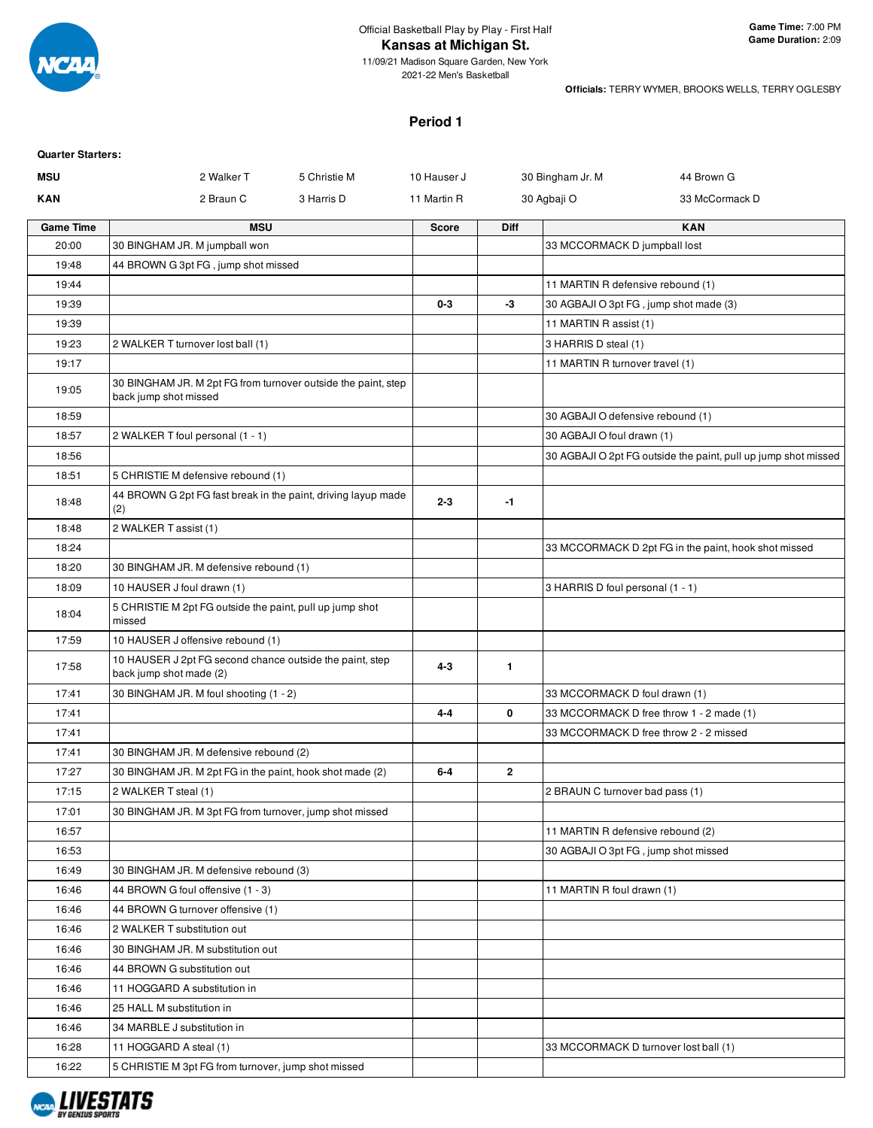

11/09/21 Madison Square Garden, New York 2021-22 Men's Basketball

**Officials:** TERRY WYMER, BROOKS WELLS, TERRY OGLESBY

#### **Period 1**

| <b>Quarter Starters:</b> |                                                                                        |              |              |                |                                        |                                                                |
|--------------------------|----------------------------------------------------------------------------------------|--------------|--------------|----------------|----------------------------------------|----------------------------------------------------------------|
| <b>MSU</b>               | 2 Walker T                                                                             | 5 Christie M | 10 Hauser J  |                | 30 Bingham Jr. M                       | 44 Brown G                                                     |
| <b>KAN</b>               | 2 Braun C                                                                              | 3 Harris D   | 11 Martin R  |                | 30 Agbaji O                            | 33 McCormack D                                                 |
| <b>Game Time</b>         | <b>MSU</b>                                                                             |              | <b>Score</b> | <b>Diff</b>    |                                        | <b>KAN</b>                                                     |
| 20:00                    | 30 BINGHAM JR. M jumpball won                                                          |              |              |                | 33 MCCORMACK D jumpball lost           |                                                                |
| 19:48                    | 44 BROWN G 3pt FG, jump shot missed                                                    |              |              |                |                                        |                                                                |
| 19:44                    |                                                                                        |              |              |                | 11 MARTIN R defensive rebound (1)      |                                                                |
| 19:39                    |                                                                                        |              | $0 - 3$      | -3             | 30 AGBAJI O 3pt FG, jump shot made (3) |                                                                |
| 19:39                    |                                                                                        |              |              |                | 11 MARTIN R assist (1)                 |                                                                |
| 19:23                    | 2 WALKER T turnover lost ball (1)                                                      |              |              |                | 3 HARRIS D steal (1)                   |                                                                |
| 19:17                    |                                                                                        |              |              |                | 11 MARTIN R turnover travel (1)        |                                                                |
| 19:05                    | 30 BINGHAM JR. M 2pt FG from turnover outside the paint, step<br>back jump shot missed |              |              |                |                                        |                                                                |
| 18:59                    |                                                                                        |              |              |                | 30 AGBAJI O defensive rebound (1)      |                                                                |
| 18:57                    | 2 WALKER T foul personal (1 - 1)                                                       |              |              |                | 30 AGBAJI O foul drawn (1)             |                                                                |
| 18:56                    |                                                                                        |              |              |                |                                        | 30 AGBAJI O 2pt FG outside the paint, pull up jump shot missed |
| 18:51                    | 5 CHRISTIE M defensive rebound (1)                                                     |              |              |                |                                        |                                                                |
| 18:48                    | 44 BROWN G 2pt FG fast break in the paint, driving layup made<br>(2)                   |              | $2 - 3$      | $-1$           |                                        |                                                                |
| 18:48                    | 2 WALKER T assist (1)                                                                  |              |              |                |                                        |                                                                |
| 18:24                    |                                                                                        |              |              |                |                                        | 33 MCCORMACK D 2pt FG in the paint, hook shot missed           |
| 18:20                    | 30 BINGHAM JR. M defensive rebound (1)                                                 |              |              |                |                                        |                                                                |
| 18:09                    | 10 HAUSER J foul drawn (1)                                                             |              |              |                | 3 HARRIS D foul personal (1 - 1)       |                                                                |
| 18:04                    | 5 CHRISTIE M 2pt FG outside the paint, pull up jump shot<br>missed                     |              |              |                |                                        |                                                                |
| 17:59                    | 10 HAUSER J offensive rebound (1)                                                      |              |              |                |                                        |                                                                |
| 17:58                    | 10 HAUSER J 2pt FG second chance outside the paint, step<br>back jump shot made (2)    |              | $4 - 3$      | $\mathbf{1}$   |                                        |                                                                |
| 17:41                    | 30 BINGHAM JR. M foul shooting (1 - 2)                                                 |              |              |                | 33 MCCORMACK D foul drawn (1)          |                                                                |
| 17:41                    |                                                                                        |              | $4 - 4$      | 0              |                                        | 33 MCCORMACK D free throw 1 - 2 made (1)                       |
| 17:41                    |                                                                                        |              |              |                |                                        | 33 MCCORMACK D free throw 2 - 2 missed                         |
| 17:41                    | 30 BINGHAM JR. M defensive rebound (2)                                                 |              |              |                |                                        |                                                                |
| 17:27                    | 30 BINGHAM JR. M 2pt FG in the paint, hook shot made (2)                               |              | $6-4$        | $\overline{2}$ |                                        |                                                                |
| 17:15                    | 2 WALKER T steal (1)                                                                   |              |              |                | 2 BRAUN C turnover bad pass (1)        |                                                                |
| 17:01                    | 30 BINGHAM JR. M 3pt FG from turnover, jump shot missed                                |              |              |                |                                        |                                                                |
| 16:57                    |                                                                                        |              |              |                | 11 MARTIN R defensive rebound (2)      |                                                                |
| 16:53                    |                                                                                        |              |              |                | 30 AGBAJI O 3pt FG, jump shot missed   |                                                                |
| 16:49                    | 30 BINGHAM JR. M defensive rebound (3)                                                 |              |              |                |                                        |                                                                |
| 16:46                    | 44 BROWN G foul offensive (1 - 3)                                                      |              |              |                | 11 MARTIN R foul drawn (1)             |                                                                |
| 16:46                    | 44 BROWN G turnover offensive (1)                                                      |              |              |                |                                        |                                                                |
| 16:46                    | 2 WALKER T substitution out                                                            |              |              |                |                                        |                                                                |
| 16:46                    | 30 BINGHAM JR. M substitution out                                                      |              |              |                |                                        |                                                                |
| 16:46                    | 44 BROWN G substitution out                                                            |              |              |                |                                        |                                                                |
| 16:46                    | 11 HOGGARD A substitution in                                                           |              |              |                |                                        |                                                                |
| 16:46                    | 25 HALL M substitution in                                                              |              |              |                |                                        |                                                                |
| 16:46                    | 34 MARBLE J substitution in                                                            |              |              |                |                                        |                                                                |
| 16:28                    | 11 HOGGARD A steal (1)                                                                 |              |              |                | 33 MCCORMACK D turnover lost ball (1)  |                                                                |
| 16:22                    | 5 CHRISTIE M 3pt FG from turnover, jump shot missed                                    |              |              |                |                                        |                                                                |

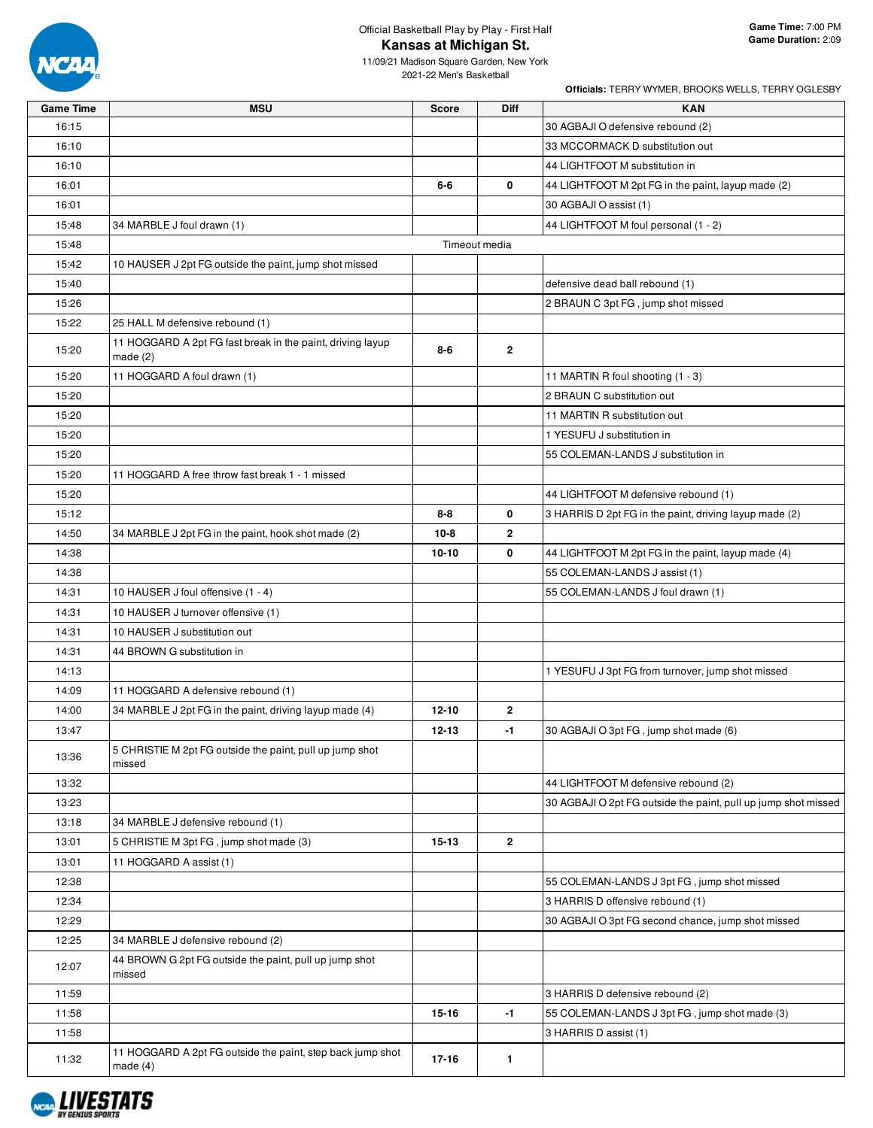

## Official Basketball Play by Play - First Half **Kansas at Michigan St.**

11/09/21 Madison Square Garden, New York 2021-22 Men's Basketball

| <b>Game Time</b> | <b>MSU</b>                                                               | <b>Score</b>  | Diff           | <b>KAN</b>                                                     |
|------------------|--------------------------------------------------------------------------|---------------|----------------|----------------------------------------------------------------|
| 16:15            |                                                                          |               |                | 30 AGBAJI O defensive rebound (2)                              |
| 16:10            |                                                                          |               |                | 33 MCCORMACK D substitution out                                |
| 16:10            |                                                                          |               |                | 44 LIGHTFOOT M substitution in                                 |
| 16:01            |                                                                          | 6-6           | 0              | 44 LIGHTFOOT M 2pt FG in the paint, layup made (2)             |
| 16:01            |                                                                          |               |                | 30 AGBAJI O assist (1)                                         |
| 15:48            | 34 MARBLE J foul drawn (1)                                               |               |                | 44 LIGHTFOOT M foul personal (1 - 2)                           |
| 15:48            |                                                                          | Timeout media |                |                                                                |
| 15:42            | 10 HAUSER J 2pt FG outside the paint, jump shot missed                   |               |                |                                                                |
| 15:40            |                                                                          |               |                | defensive dead ball rebound (1)                                |
| 15:26            |                                                                          |               |                | 2 BRAUN C 3pt FG, jump shot missed                             |
| 15:22            | 25 HALL M defensive rebound (1)                                          |               |                |                                                                |
| 15:20            | 11 HOGGARD A 2pt FG fast break in the paint, driving layup<br>made $(2)$ | 8-6           | $\overline{2}$ |                                                                |
| 15:20            | 11 HOGGARD A foul drawn (1)                                              |               |                | 11 MARTIN R foul shooting (1 - 3)                              |
| 15:20            |                                                                          |               |                | 2 BRAUN C substitution out                                     |
| 15:20            |                                                                          |               |                | 11 MARTIN R substitution out                                   |
| 15:20            |                                                                          |               |                | 1 YESUFU J substitution in                                     |
| 15:20            |                                                                          |               |                | 55 COLEMAN-LANDS J substitution in                             |
| 15:20            | 11 HOGGARD A free throw fast break 1 - 1 missed                          |               |                |                                                                |
| 15:20            |                                                                          |               |                | 44 LIGHTFOOT M defensive rebound (1)                           |
| 15:12            |                                                                          | $8 - 8$       | 0              | 3 HARRIS D 2pt FG in the paint, driving layup made (2)         |
| 14:50            | 34 MARBLE J 2pt FG in the paint, hook shot made (2)                      | $10 - 8$      | $\mathbf{2}$   |                                                                |
| 14:38            |                                                                          | $10 - 10$     | 0              | 44 LIGHTFOOT M 2pt FG in the paint, layup made (4)             |
| 14:38            |                                                                          |               |                | 55 COLEMAN-LANDS J assist (1)                                  |
| 14:31            | 10 HAUSER J foul offensive (1 - 4)                                       |               |                | 55 COLEMAN-LANDS J foul drawn (1)                              |
| 14:31            | 10 HAUSER J turnover offensive (1)                                       |               |                |                                                                |
| 14:31            | 10 HAUSER J substitution out                                             |               |                |                                                                |
| 14:31            | 44 BROWN G substitution in                                               |               |                |                                                                |
| 14:13            |                                                                          |               |                | 1 YESUFU J 3pt FG from turnover, jump shot missed              |
| 14:09            | 11 HOGGARD A defensive rebound (1)                                       |               |                |                                                                |
| 14:00            | 34 MARBLE J 2pt FG in the paint, driving layup made (4)                  | $12 - 10$     | $\mathbf{2}$   |                                                                |
| 13:47            |                                                                          | $12 - 13$     | -1             | 30 AGBAJI O 3pt FG, jump shot made (6)                         |
| 13:36            | 5 CHRISTIE M 2pt FG outside the paint, pull up jump shot<br>missed       |               |                |                                                                |
| 13:32            |                                                                          |               |                | 44 LIGHTFOOT M defensive rebound (2)                           |
| 13:23            |                                                                          |               |                | 30 AGBAJI O 2pt FG outside the paint, pull up jump shot missed |
| 13:18            | 34 MARBLE J defensive rebound (1)                                        |               |                |                                                                |
| 13:01            | 5 CHRISTIE M 3pt FG, jump shot made (3)                                  | $15 - 13$     | $\mathbf{2}$   |                                                                |
| 13:01            | 11 HOGGARD A assist (1)                                                  |               |                |                                                                |
| 12:38            |                                                                          |               |                | 55 COLEMAN-LANDS J 3pt FG, jump shot missed                    |
| 12:34            |                                                                          |               |                | 3 HARRIS D offensive rebound (1)                               |
| 12:29            |                                                                          |               |                | 30 AGBAJI O 3pt FG second chance, jump shot missed             |
| 12:25            | 34 MARBLE J defensive rebound (2)                                        |               |                |                                                                |
| 12:07            | 44 BROWN G 2pt FG outside the paint, pull up jump shot<br>missed         |               |                |                                                                |
| 11:59            |                                                                          |               |                | 3 HARRIS D defensive rebound (2)                               |
| 11:58            |                                                                          | $15 - 16$     | $-1$           | 55 COLEMAN-LANDS J 3pt FG, jump shot made (3)                  |
| 11:58            |                                                                          |               |                | 3 HARRIS D assist (1)                                          |
| 11:32            | 11 HOGGARD A 2pt FG outside the paint, step back jump shot<br>made $(4)$ | 17-16         | 1.             |                                                                |

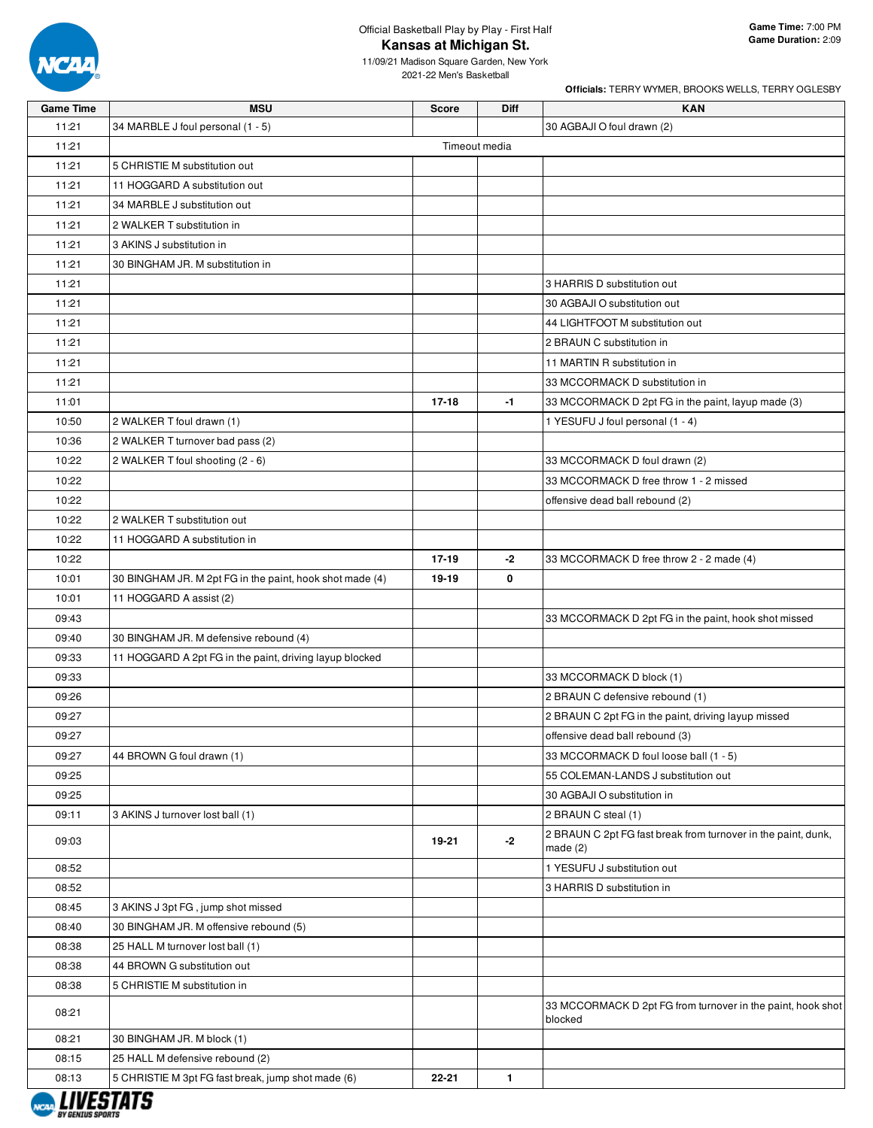

## Official Basketball Play by Play - First Half **Kansas at Michigan St.**

11/09/21 Madison Square Garden, New York 2021-22 Men's Basketball

| <b>Game Time</b> | <b>MSU</b>                                               | <b>Score</b>  | Diff         | <b>KAN</b>                                                             |
|------------------|----------------------------------------------------------|---------------|--------------|------------------------------------------------------------------------|
| 11:21            | 34 MARBLE J foul personal (1 - 5)                        |               |              | 30 AGBAJI O foul drawn (2)                                             |
| 11:21            |                                                          | Timeout media |              |                                                                        |
| 11:21            | 5 CHRISTIE M substitution out                            |               |              |                                                                        |
| 11:21            | 11 HOGGARD A substitution out                            |               |              |                                                                        |
| 11:21            | 34 MARBLE J substitution out                             |               |              |                                                                        |
| 11:21            | 2 WALKER T substitution in                               |               |              |                                                                        |
| 11:21            | 3 AKINS J substitution in                                |               |              |                                                                        |
| 11:21            | 30 BINGHAM JR. M substitution in                         |               |              |                                                                        |
| 11:21            |                                                          |               |              | 3 HARRIS D substitution out                                            |
| 11:21            |                                                          |               |              | 30 AGBAJI O substitution out                                           |
| 11:21            |                                                          |               |              | 44 LIGHTFOOT M substitution out                                        |
| 11:21            |                                                          |               |              | 2 BRAUN C substitution in                                              |
| 11:21            |                                                          |               |              | 11 MARTIN R substitution in                                            |
| 11:21            |                                                          |               |              | 33 MCCORMACK D substitution in                                         |
| 11:01            |                                                          | $17 - 18$     | $-1$         | 33 MCCORMACK D 2pt FG in the paint, layup made (3)                     |
| 10:50            | 2 WALKER T foul drawn (1)                                |               |              | 1 YESUFU J foul personal (1 - 4)                                       |
| 10:36            | 2 WALKER T turnover bad pass (2)                         |               |              |                                                                        |
| 10:22            | 2 WALKER T foul shooting (2 - 6)                         |               |              | 33 MCCORMACK D foul drawn (2)                                          |
| 10:22            |                                                          |               |              | 33 MCCORMACK D free throw 1 - 2 missed                                 |
| 10:22            |                                                          |               |              | offensive dead ball rebound (2)                                        |
| 10:22            | 2 WALKER T substitution out                              |               |              |                                                                        |
| 10:22            | 11 HOGGARD A substitution in                             |               |              |                                                                        |
| 10:22            |                                                          | 17-19         | $-2$         | 33 MCCORMACK D free throw 2 - 2 made (4)                               |
| 10:01            | 30 BINGHAM JR. M 2pt FG in the paint, hook shot made (4) | 19-19         | 0            |                                                                        |
| 10:01            | 11 HOGGARD A assist (2)                                  |               |              |                                                                        |
| 09:43            |                                                          |               |              | 33 MCCORMACK D 2pt FG in the paint, hook shot missed                   |
| 09:40            | 30 BINGHAM JR. M defensive rebound (4)                   |               |              |                                                                        |
| 09:33            | 11 HOGGARD A 2pt FG in the paint, driving layup blocked  |               |              |                                                                        |
| 09:33            |                                                          |               |              | 33 MCCORMACK D block (1)                                               |
| 09:26            |                                                          |               |              | 2 BRAUN C defensive rebound (1)                                        |
| 09:27            |                                                          |               |              | 2 BRAUN C 2pt FG in the paint, driving layup missed                    |
| 09:27            |                                                          |               |              | offensive dead ball rebound (3)                                        |
| 09:27            | 44 BROWN G foul drawn (1)                                |               |              | 33 MCCORMACK D foul loose ball (1 - 5)                                 |
| 09:25            |                                                          |               |              | 55 COLEMAN-LANDS J substitution out                                    |
| 09:25            |                                                          |               |              | 30 AGBAJI O substitution in                                            |
| 09:11            | 3 AKINS J turnover lost ball (1)                         |               |              | 2 BRAUN C steal (1)                                                    |
|                  |                                                          |               |              | 2 BRAUN C 2pt FG fast break from turnover in the paint, dunk,          |
| 09:03            |                                                          | 19-21         | $-2$         | made $(2)$                                                             |
| 08:52            |                                                          |               |              | 1 YESUFU J substitution out                                            |
| 08:52            |                                                          |               |              | 3 HARRIS D substitution in                                             |
| 08:45            | 3 AKINS J 3pt FG, jump shot missed                       |               |              |                                                                        |
| 08:40            | 30 BINGHAM JR. M offensive rebound (5)                   |               |              |                                                                        |
| 08:38            | 25 HALL M turnover lost ball (1)                         |               |              |                                                                        |
| 08:38            | 44 BROWN G substitution out                              |               |              |                                                                        |
| 08:38            | 5 CHRISTIE M substitution in                             |               |              |                                                                        |
| 08:21            |                                                          |               |              | 33 MCCORMACK D 2pt FG from turnover in the paint, hook shot<br>blocked |
| 08:21            | 30 BINGHAM JR. M block (1)                               |               |              |                                                                        |
| 08:15            | 25 HALL M defensive rebound (2)                          |               |              |                                                                        |
| 08:13            | 5 CHRISTIE M 3pt FG fast break, jump shot made (6)       | 22-21         | $\mathbf{1}$ |                                                                        |
|                  |                                                          |               |              |                                                                        |

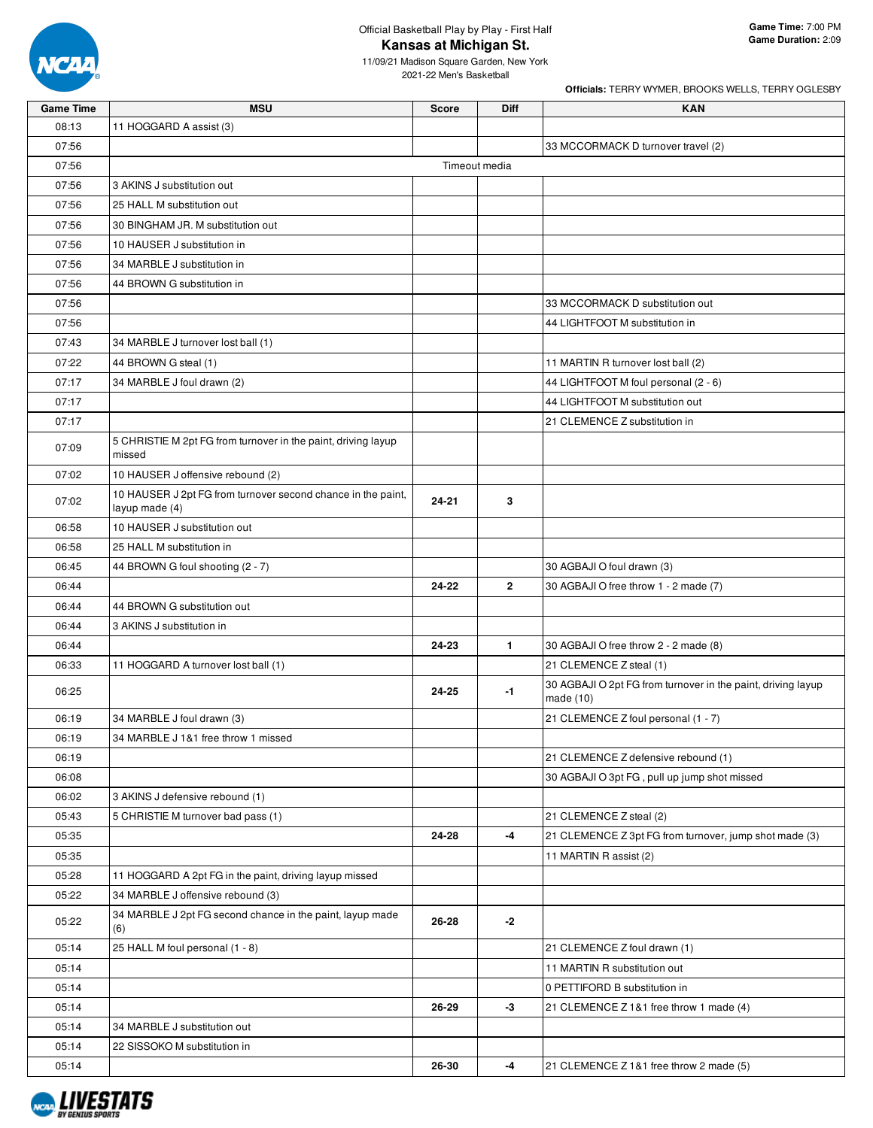

**Officials:** TERRY WYMER, BROOKS WELLS, TERRY OGLESBY

11/09/21 Madison Square Garden, New York 2021-22 Men's Basketball

| <b>Game Time</b> | <b>MSU</b>                                                              | <b>Score</b>  | Diff           | <b>KAN</b>                                                                  |
|------------------|-------------------------------------------------------------------------|---------------|----------------|-----------------------------------------------------------------------------|
| 08:13            | 11 HOGGARD A assist (3)                                                 |               |                |                                                                             |
| 07:56            |                                                                         |               |                | 33 MCCORMACK D turnover travel (2)                                          |
| 07:56            |                                                                         | Timeout media |                |                                                                             |
| 07:56            | 3 AKINS J substitution out                                              |               |                |                                                                             |
| 07:56            | 25 HALL M substitution out                                              |               |                |                                                                             |
| 07:56            | 30 BINGHAM JR. M substitution out                                       |               |                |                                                                             |
| 07:56            | 10 HAUSER J substitution in                                             |               |                |                                                                             |
| 07:56            | 34 MARBLE J substitution in                                             |               |                |                                                                             |
| 07:56            | 44 BROWN G substitution in                                              |               |                |                                                                             |
| 07:56            |                                                                         |               |                | 33 MCCORMACK D substitution out                                             |
| 07:56            |                                                                         |               |                | 44 LIGHTFOOT M substitution in                                              |
| 07:43            | 34 MARBLE J turnover lost ball (1)                                      |               |                |                                                                             |
| 07:22            | 44 BROWN G steal (1)                                                    |               |                | 11 MARTIN R turnover lost ball (2)                                          |
| 07:17            | 34 MARBLE J foul drawn (2)                                              |               |                | 44 LIGHTFOOT M foul personal (2 - 6)                                        |
| 07:17            |                                                                         |               |                | 44 LIGHTFOOT M substitution out                                             |
| 07:17            |                                                                         |               |                | 21 CLEMENCE Z substitution in                                               |
| 07:09            | 5 CHRISTIE M 2pt FG from turnover in the paint, driving layup<br>missed |               |                |                                                                             |
| 07:02            | 10 HAUSER J offensive rebound (2)                                       |               |                |                                                                             |
|                  | 10 HAUSER J 2pt FG from turnover second chance in the paint,            |               |                |                                                                             |
| 07:02            | layup made (4)                                                          | 24-21         | 3              |                                                                             |
| 06:58            | 10 HAUSER J substitution out                                            |               |                |                                                                             |
| 06:58            | 25 HALL M substitution in                                               |               |                |                                                                             |
| 06:45            | 44 BROWN G foul shooting (2 - 7)                                        |               |                | 30 AGBAJI O foul drawn (3)                                                  |
| 06:44            |                                                                         | 24-22         | $\overline{2}$ | 30 AGBAJI O free throw 1 - 2 made (7)                                       |
| 06:44            | 44 BROWN G substitution out                                             |               |                |                                                                             |
| 06:44            | 3 AKINS J substitution in                                               |               |                |                                                                             |
| 06:44            |                                                                         | 24-23         | $\mathbf{1}$   | 30 AGBAJI O free throw 2 - 2 made (8)                                       |
| 06:33            | 11 HOGGARD A turnover lost ball (1)                                     |               |                | 21 CLEMENCE Z steal (1)                                                     |
| 06:25            |                                                                         | 24-25         | $-1$           | 30 AGBAJI O 2pt FG from turnover in the paint, driving layup<br>made $(10)$ |
| 06:19            | 34 MARBLE J foul drawn (3)                                              |               |                | 21 CLEMENCE Z foul personal (1 - 7)                                         |
| 06:19            | 34 MARBLE J 1&1 free throw 1 missed                                     |               |                |                                                                             |
| 06:19            |                                                                         |               |                | 21 CLEMENCE Z defensive rebound (1)                                         |
| 06:08            |                                                                         |               |                | 30 AGBAJI O 3pt FG, pull up jump shot missed                                |
| 06:02            | 3 AKINS J defensive rebound (1)                                         |               |                |                                                                             |
| 05:43            | 5 CHRISTIE M turnover bad pass (1)                                      |               |                | 21 CLEMENCE Z steal (2)                                                     |
| 05:35            |                                                                         | 24-28         | $-4$           | 21 CLEMENCE Z 3pt FG from turnover, jump shot made (3)                      |
| 05:35            |                                                                         |               |                | 11 MARTIN R assist (2)                                                      |
| 05:28            | 11 HOGGARD A 2pt FG in the paint, driving layup missed                  |               |                |                                                                             |
| 05:22            | 34 MARBLE J offensive rebound (3)                                       |               |                |                                                                             |
| 05:22            | 34 MARBLE J 2pt FG second chance in the paint, layup made<br>(6)        | 26-28         | -2             |                                                                             |
| 05:14            | 25 HALL M foul personal (1 - 8)                                         |               |                | 21 CLEMENCE Z foul drawn (1)                                                |
| 05:14            |                                                                         |               |                | 11 MARTIN R substitution out                                                |
| 05:14            |                                                                         |               |                | 0 PETTIFORD B substitution in                                               |
| 05:14            |                                                                         | 26-29         | -3             | 21 CLEMENCE Z 1&1 free throw 1 made (4)                                     |
| 05:14            | 34 MARBLE J substitution out                                            |               |                |                                                                             |
| 05:14            | 22 SISSOKO M substitution in                                            |               |                |                                                                             |
| 05:14            |                                                                         | 26-30         | $-4$           | 21 CLEMENCE Z 1&1 free throw 2 made (5)                                     |

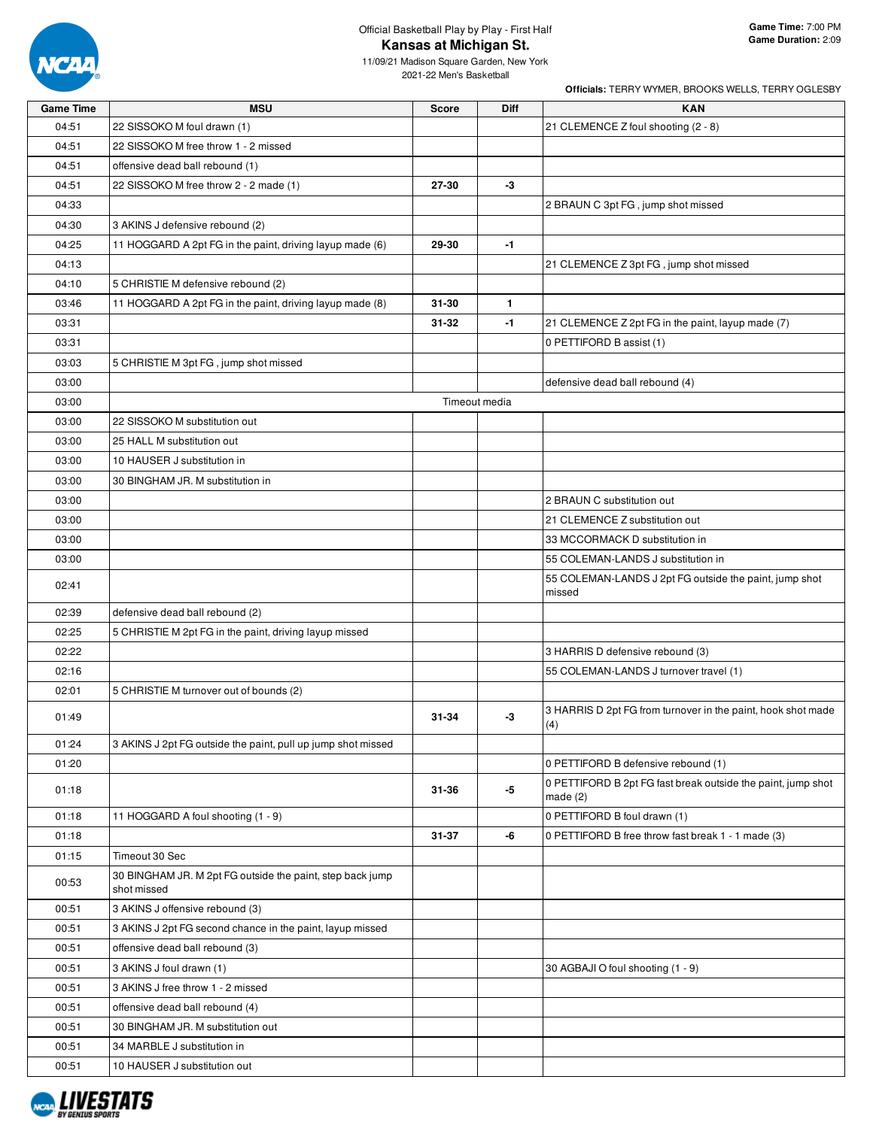

## Official Basketball Play by Play - First Half **Kansas at Michigan St.**

11/09/21 Madison Square Garden, New York 2021-22 Men's Basketball

| <b>Game Time</b> | <b>MSU</b>                                                               |              | Diff          | <b>KAN</b>                                                                 |
|------------------|--------------------------------------------------------------------------|--------------|---------------|----------------------------------------------------------------------------|
| 04:51            | 22 SISSOKO M foul drawn (1)                                              | <b>Score</b> |               | 21 CLEMENCE Z foul shooting (2 - 8)                                        |
| 04:51            | 22 SISSOKO M free throw 1 - 2 missed                                     |              |               |                                                                            |
| 04:51            | offensive dead ball rebound (1)                                          |              |               |                                                                            |
| 04:51            | 22 SISSOKO M free throw 2 - 2 made (1)                                   | 27-30        | $-3$          |                                                                            |
| 04:33            |                                                                          |              |               | 2 BRAUN C 3pt FG, jump shot missed                                         |
| 04:30            | 3 AKINS J defensive rebound (2)                                          |              |               |                                                                            |
| 04:25            | 11 HOGGARD A 2pt FG in the paint, driving layup made (6)                 | 29-30        | $-1$          |                                                                            |
| 04:13            |                                                                          |              |               | 21 CLEMENCE Z 3pt FG, jump shot missed                                     |
| 04:10            | 5 CHRISTIE M defensive rebound (2)                                       |              |               |                                                                            |
| 03:46            | 11 HOGGARD A 2pt FG in the paint, driving layup made (8)                 | 31-30        | 1.            |                                                                            |
| 03:31            |                                                                          | $31 - 32$    | $-1$          | 21 CLEMENCE Z 2pt FG in the paint, layup made (7)                          |
| 03:31            |                                                                          |              |               | 0 PETTIFORD B assist (1)                                                   |
| 03:03            | 5 CHRISTIE M 3pt FG, jump shot missed                                    |              |               |                                                                            |
| 03:00            |                                                                          |              |               | defensive dead ball rebound (4)                                            |
| 03:00            |                                                                          |              | Timeout media |                                                                            |
| 03:00            | 22 SISSOKO M substitution out                                            |              |               |                                                                            |
| 03:00            | 25 HALL M substitution out                                               |              |               |                                                                            |
| 03:00            | 10 HAUSER J substitution in                                              |              |               |                                                                            |
| 03:00            | 30 BINGHAM JR. M substitution in                                         |              |               |                                                                            |
| 03:00            |                                                                          |              |               | 2 BRAUN C substitution out                                                 |
| 03:00            |                                                                          |              |               | 21 CLEMENCE Z substitution out                                             |
| 03:00            |                                                                          |              |               | 33 MCCORMACK D substitution in                                             |
| 03:00            |                                                                          |              |               | 55 COLEMAN-LANDS J substitution in                                         |
|                  |                                                                          |              |               | 55 COLEMAN-LANDS J 2pt FG outside the paint, jump shot                     |
| 02:41            |                                                                          |              |               | missed                                                                     |
| 02:39            | defensive dead ball rebound (2)                                          |              |               |                                                                            |
| 02:25            | 5 CHRISTIE M 2pt FG in the paint, driving layup missed                   |              |               |                                                                            |
| 02:22            |                                                                          |              |               | 3 HARRIS D defensive rebound (3)                                           |
| 02:16            |                                                                          |              |               | 55 COLEMAN-LANDS J turnover travel (1)                                     |
| 02:01            | 5 CHRISTIE M turnover out of bounds (2)                                  |              |               |                                                                            |
| 01:49            |                                                                          | 31-34        | -3            | 3 HARRIS D 2pt FG from turnover in the paint, hook shot made<br>(4)        |
| 01:24            | 3 AKINS J 2pt FG outside the paint, pull up jump shot missed             |              |               |                                                                            |
| 01:20            |                                                                          |              |               | 0 PETTIFORD B defensive rebound (1)                                        |
| 01:18            |                                                                          | 31-36        | -5            | 0 PETTIFORD B 2pt FG fast break outside the paint, jump shot<br>made $(2)$ |
| 01:18            | 11 HOGGARD A foul shooting (1 - 9)                                       |              |               | 0 PETTIFORD B foul drawn (1)                                               |
| 01:18            |                                                                          | 31-37        | -6            | 0 PETTIFORD B free throw fast break 1 - 1 made (3)                         |
| 01:15            | Timeout 30 Sec                                                           |              |               |                                                                            |
| 00:53            | 30 BINGHAM JR. M 2pt FG outside the paint, step back jump<br>shot missed |              |               |                                                                            |
| 00:51            | 3 AKINS J offensive rebound (3)                                          |              |               |                                                                            |
| 00:51            | 3 AKINS J 2pt FG second chance in the paint, layup missed                |              |               |                                                                            |
| 00:51            | offensive dead ball rebound (3)                                          |              |               |                                                                            |
| 00:51            | 3 AKINS J foul drawn (1)                                                 |              |               | 30 AGBAJI O foul shooting (1 - 9)                                          |
| 00:51            | 3 AKINS J free throw 1 - 2 missed                                        |              |               |                                                                            |
| 00:51            | offensive dead ball rebound (4)                                          |              |               |                                                                            |
| 00:51            | 30 BINGHAM JR. M substitution out                                        |              |               |                                                                            |
| 00:51            | 34 MARBLE J substitution in                                              |              |               |                                                                            |
| 00:51            | 10 HAUSER J substitution out                                             |              |               |                                                                            |

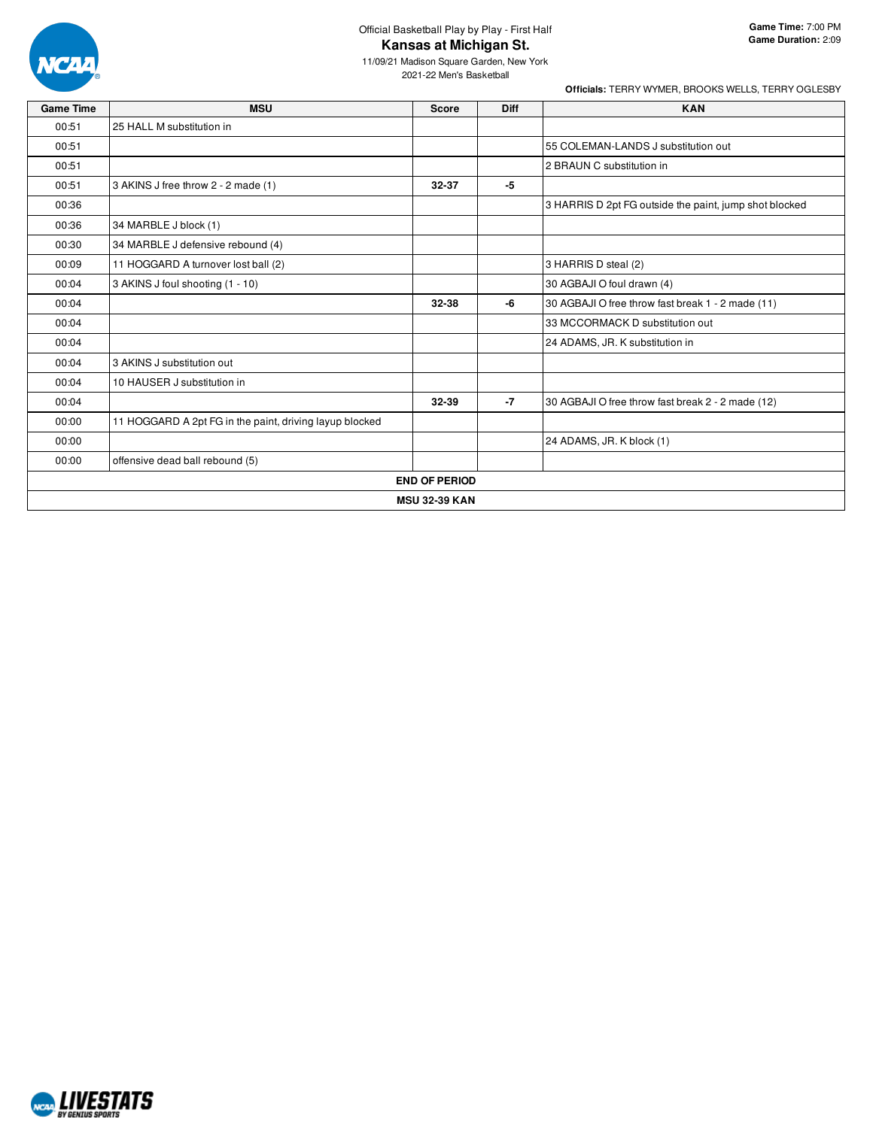

## Official Basketball Play by Play - First Half **Kansas at Michigan St.**

11/09/21 Madison Square Garden, New York 2021-22 Men's Basketball

| <b>Game Time</b> | <b>MSU</b>                                              | <b>Score</b>         | <b>Diff</b> | <b>KAN</b>                                             |  |  |  |  |
|------------------|---------------------------------------------------------|----------------------|-------------|--------------------------------------------------------|--|--|--|--|
| 00:51            | 25 HALL M substitution in                               |                      |             |                                                        |  |  |  |  |
| 00:51            |                                                         |                      |             | 55 COLEMAN-LANDS J substitution out                    |  |  |  |  |
| 00:51            |                                                         |                      |             | 2 BRAUN C substitution in                              |  |  |  |  |
| 00:51            | 3 AKINS J free throw 2 - 2 made (1)                     | 32-37                | -5          |                                                        |  |  |  |  |
| 00:36            |                                                         |                      |             | 3 HARRIS D 2pt FG outside the paint, jump shot blocked |  |  |  |  |
| 00:36            | 34 MARBLE J block (1)                                   |                      |             |                                                        |  |  |  |  |
| 00:30            | 34 MARBLE J defensive rebound (4)                       |                      |             |                                                        |  |  |  |  |
| 00:09            | 11 HOGGARD A turnover lost ball (2)                     |                      |             | 3 HARRIS D steal (2)                                   |  |  |  |  |
| 00:04            | 3 AKINS J foul shooting (1 - 10)                        |                      |             | 30 AGBAJI O foul drawn (4)                             |  |  |  |  |
| 00:04            |                                                         | 32-38                | -6          | 30 AGBAJI O free throw fast break 1 - 2 made (11)      |  |  |  |  |
| 00:04            |                                                         |                      |             | 33 MCCORMACK D substitution out                        |  |  |  |  |
| 00:04            |                                                         |                      |             | 24 ADAMS, JR. K substitution in                        |  |  |  |  |
| 00:04            | 3 AKINS J substitution out                              |                      |             |                                                        |  |  |  |  |
| 00:04            | 10 HAUSER J substitution in                             |                      |             |                                                        |  |  |  |  |
| 00:04            |                                                         | 32-39                | $-7$        | 30 AGBAJI O free throw fast break 2 - 2 made (12)      |  |  |  |  |
| 00:00            | 11 HOGGARD A 2pt FG in the paint, driving layup blocked |                      |             |                                                        |  |  |  |  |
| 00:00            |                                                         |                      |             | 24 ADAMS, JR. K block (1)                              |  |  |  |  |
| 00:00            | offensive dead ball rebound (5)                         |                      |             |                                                        |  |  |  |  |
|                  |                                                         | <b>END OF PERIOD</b> |             |                                                        |  |  |  |  |
|                  | <b>MSU 32-39 KAN</b>                                    |                      |             |                                                        |  |  |  |  |

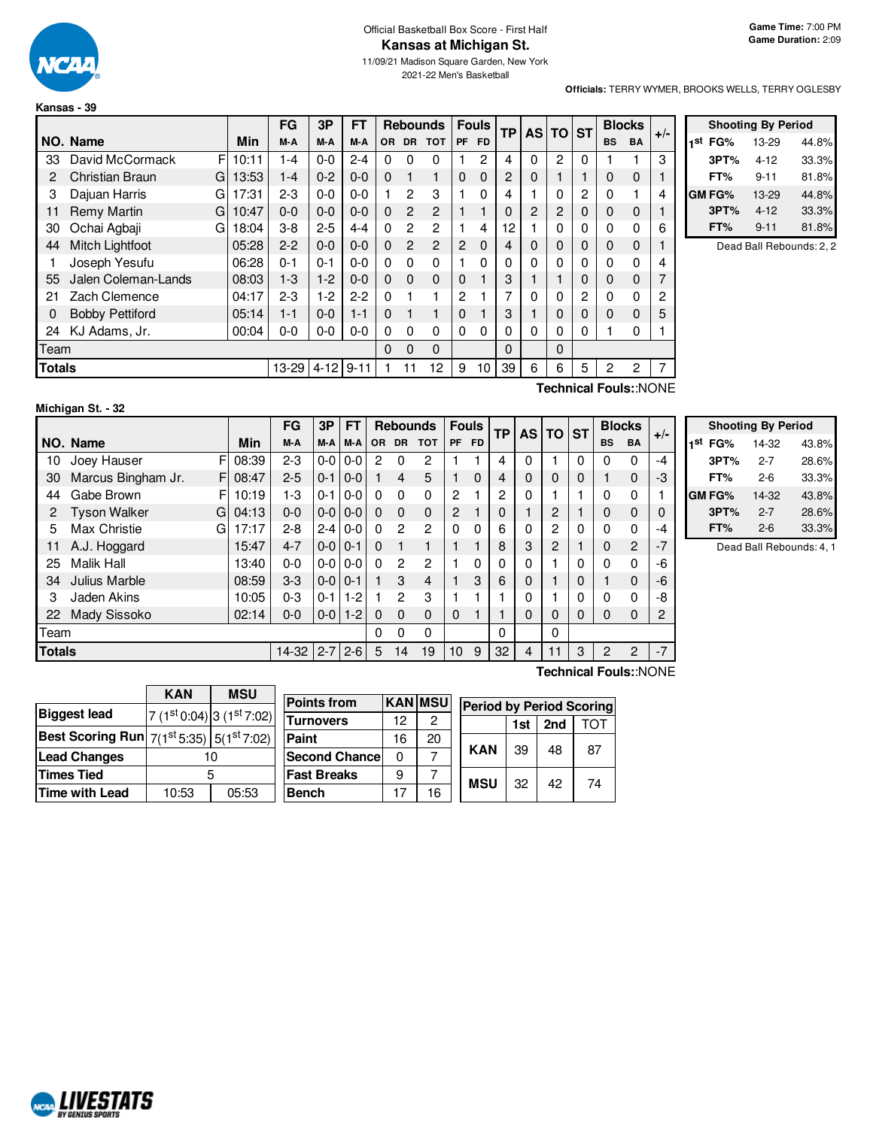

#### Official Basketball Box Score - First Half **Kansas at Michigan St.**

11/09/21 Madison Square Garden, New York 2021-22 Men's Basketball

**Shooting By Period 1 st FG%** 13-29 44.8% **3PT%** 4-12 33.3% **FT%** 9-11 81.8% **GM FG%** 13-29 44.8% **3PT%** 4-12 33.3% **FT%** 9-11 81.8% Dead Ball Rebounds: 2, 2

**Officials:** TERRY WYMER, BROOKS WELLS, TERRY OGLESBY

|               | Kansas - 39            |   |       |           |          |           |          |                |                 |                |              |          |                |              |   |                |               |       |
|---------------|------------------------|---|-------|-----------|----------|-----------|----------|----------------|-----------------|----------------|--------------|----------|----------------|--------------|---|----------------|---------------|-------|
|               |                        |   |       | <b>FG</b> | 3P       | <b>FT</b> |          |                | <b>Rebounds</b> |                | <b>Fouls</b> | TP       |                | AS TO ST     |   |                | <b>Blocks</b> | $+/-$ |
|               | NO. Name               |   | Min   | M-A       | M-A      | M-A       | OR.      | <b>DR</b>      | <b>TOT</b>      | <b>PF</b>      | <b>FD</b>    |          |                |              |   | <b>BS</b>      | <b>BA</b>     |       |
| 33            | David McCormack        | F | 10:11 | 1-4       | $0 - 0$  | $2 - 4$   | 0        | 0              | 0               |                | 2            | 4        | $\Omega$       | 2            | 0 |                |               | 3     |
| 2             | Christian Braun        | G | 13:53 | $1 - 4$   | $0 - 2$  | $0 - 0$   | $\Omega$ | $\mathbf{1}$   | 1               | $\Omega$       | 0            | 2        | $\Omega$       |              |   | 0              | 0             | 1     |
| 3             | Dajuan Harris          | G | 17:31 | $2 - 3$   | $0 - 0$  | $0 - 0$   |          | $\overline{2}$ | 3               | 1              | 0            | 4        |                | 0            | 2 | 0              |               | 4     |
| 11            | Remy Martin            | G | 10:47 | $0 - 0$   | $0 - 0$  | $0 - 0$   | $\Omega$ | $\mathcal{P}$  | $\overline{c}$  |                |              | 0        | $\overline{2}$ | 2            | 0 | 0              | 0             | 1     |
| 30            | Ochai Agbaji           | G | 18:04 | $3 - 8$   | $2 - 5$  | $4 - 4$   | $\Omega$ | 2              | $\overline{2}$  | 1              | 4            | 12       |                | $\mathbf{0}$ | 0 | 0              | 0             | 6     |
| 44            | Mitch Lightfoot        |   | 05:28 | $2 - 2$   | $0 - 0$  | $0 - 0$   | $\Omega$ | $\overline{2}$ | $\overline{c}$  | 2              | 0            | 4        | $\Omega$       | $\mathbf 0$  | 0 | 0              | 0             | 1     |
|               | Joseph Yesufu          |   | 06:28 | $0 - 1$   | $0 - 1$  | $0 - 0$   | $\Omega$ | 0              | 0               | 1              | 0            | $\Omega$ | $\Omega$       | $\mathbf{0}$ | 0 | $\Omega$       | 0             | 4     |
| 55            | Jalen Coleman-Lands    |   | 08:03 | $1-3$     | $1-2$    | $0 - 0$   | $\Omega$ | $\Omega$       | $\mathbf 0$     | $\Omega$       |              | 3        |                |              | 0 | 0              | 0             | 7     |
| 21            | Zach Clemence          |   | 04:17 | $2 - 3$   | $1-2$    | $2 - 2$   | $\Omega$ |                | 1               | $\overline{2}$ |              | 7        | $\Omega$       | $\mathbf{0}$ | 2 | 0              | 0             | 2     |
| 0             | <b>Bobby Pettiford</b> |   | 05:14 | $1 - 1$   | $0 - 0$  | $1 - 1$   | $\Omega$ |                | 1               | $\Omega$       |              | 3        |                | $\mathbf 0$  | 0 | 0              | 0             | 5     |
| 24            | KJ Adams, Jr.          |   | 00:04 | $0 - 0$   | $0-0$    | $0 - 0$   | $\Omega$ | 0              | 0               | $\Omega$       | 0            | 0        | $\Omega$       | $\mathbf{0}$ | 0 |                | 0             |       |
| Team          |                        |   |       |           |          |           | $\Omega$ | 0              | 0               |                |              | 0        |                | $\Omega$     |   |                |               |       |
| <b>Totals</b> |                        |   |       | 13-29     | $4 - 12$ | $9 - 11$  |          |                | 12              | 9              | 10           | 39       | 6              | 6            | 5 | $\overline{2}$ | 2             | 7     |

#### **Michigan St. - 32**

**Technical Fouls:**:NONE

|               |                          |       | FG      | 3Р            | FT            |           | <b>Rebounds</b> |            |          | <b>Fouls</b><br>ТP |          | <b>AS</b> | <b>TO</b> | <b>ST</b> | <b>Blocks</b>  |                | $+/-$ |
|---------------|--------------------------|-------|---------|---------------|---------------|-----------|-----------------|------------|----------|--------------------|----------|-----------|-----------|-----------|----------------|----------------|-------|
|               | NO. Name                 | Min   | M-A     | M-A           | M-A           | <b>OR</b> | <b>DR</b>       | <b>TOT</b> | PF       | <b>FD</b>          |          |           |           |           | <b>BS</b>      | <b>BA</b>      |       |
| 10            | Joey Hauser<br>F         | 08:39 | $2 - 3$ | $0-0$         | $0-0$         | 2         | $\Omega$        | 2          |          |                    | 4        | 0         |           | 0         | 0              | 0              | -4    |
| 30            | Marcus Bingham Jr.<br>F  | 08:47 | $2 - 5$ | $0 - 1$       | $0 - 0$       |           | 4               | 5          |          | $\mathbf 0$        | 4        | 0         | 0         | 0         |                | $\mathbf 0$    | -3    |
| 44            | Gabe Brown<br>F          | 10:19 | 1-3     | $0 - 1$       | $0-0$         | $\Omega$  | $\Omega$        | 0          | 2        |                    | 2        | 0         |           |           | 0              | 0              |       |
| 2             | <b>Tyson Walker</b><br>G | 04:13 | $0 - 0$ |               | $0 - 0 0 - 0$ | $\Omega$  | $\Omega$        | $\Omega$   | 2        |                    | 0        |           | 2         |           | 0              | $\mathbf 0$    | 0     |
| 5             | Max Christie<br>G        | 17:17 | $2 - 8$ | $2-4$         | $0-0$         | $\Omega$  | 2               | 2          | $\Omega$ | 0                  | 6        | 0         | 2         | 0         | 0              | 0              | -4    |
| 11            | A.J. Hoggard             | 15:47 | $4 - 7$ | $0 - 0 0 - 1$ |               | $\Omega$  |                 |            |          |                    | 8        | 3         | 2         |           | $\Omega$       | $\overline{c}$ | $-7$  |
| 25            | <b>Malik Hall</b>        | 13:40 | $0 - 0$ |               | $0-0$   0-0   | 0         | 2               | 2          |          | $\Omega$           | $\Omega$ | 0         |           | 0         | 0              | 0              | -6    |
| 34            | Julius Marble            | 08:59 | $3-3$   | $0 - 0 0 - 1$ |               |           | 3               | 4          |          | 3                  | 6        | 0         |           | 0         |                | $\Omega$       | -6    |
| 3             | Jaden Akins              | 10:05 | $0 - 3$ | $0 - 1$       | $1-2$         |           | $\overline{2}$  | 3          |          |                    |          | 0         |           | 0         | 0              | $\mathbf{0}$   | -8    |
| 22            | Mady Sissoko             | 02:14 | $0 - 0$ | $0-0$         | $1 - 2$       | 0         | $\Omega$        | $\Omega$   | 0        |                    |          | 0         | 0         | 0         | 0              | 0              | 2     |
| Team          |                          |       |         |               |               | $\Omega$  | $\Omega$        | 0          |          |                    | 0        |           | 0         |           |                |                |       |
| <b>Totals</b> |                          |       | $14-32$ | $2 - 7$       | $2 - 6$       | 5         | 14              | 19         | 10       | 9                  | 32       | 4         | 11        | 3         | $\overline{c}$ | 2              | $-7$  |
|               |                          |       |         |               |               |           |                 |            |          |                    |          |           |           |           |                |                |       |

|     | <b>Shooting By Period</b> |         |       |  |  |  |  |  |  |
|-----|---------------------------|---------|-------|--|--|--|--|--|--|
| 1st | FG%                       | 14-32   | 43.8% |  |  |  |  |  |  |
|     | 3PT%                      | $2 - 7$ | 28.6% |  |  |  |  |  |  |
|     | FT%                       | 2-6     | 33.3% |  |  |  |  |  |  |
|     | GM FG%                    | 14-32   | 43.8% |  |  |  |  |  |  |
|     | 3PT%                      | $2 - 7$ | 28.6% |  |  |  |  |  |  |
|     | FT%                       | $2-6$   | 33.3% |  |  |  |  |  |  |

Dead Ball Rebounds: 4, 1

|                                                          | <b>KAN</b> | <b>MSU</b>                   | <b>Points from</b>   |    | <b>KAN MSU</b> |            |     |                 | <b>Period by Period Scoring</b> |
|----------------------------------------------------------|------------|------------------------------|----------------------|----|----------------|------------|-----|-----------------|---------------------------------|
| <b>Biggest lead</b>                                      |            | $7(1st 0:04)$ 3 $(1st 7:02)$ |                      |    |                |            |     |                 |                                 |
|                                                          |            |                              | <b>Turnovers</b>     | 12 | 2              |            | 1st | 2 <sub>nd</sub> | TOT                             |
| Best Scoring Run $ 7(1^{\rm st}5:35) 5(1^{\rm st}7:02) $ |            |                              | <b>Paint</b>         | 16 | 20             |            |     |                 |                                 |
| <b>Lead Changes</b>                                      |            | 10                           | <b>Second Chance</b> |    |                | <b>KAN</b> | 39  | 48              | 87                              |
| Times Tied                                               |            | 5                            | <b>Fast Breaks</b>   | 9  |                | <b>MSU</b> | 32  | 42              | 74                              |
| Time with Lead                                           | 10:53      | 05:53                        | Bench                |    | 16             |            |     |                 |                                 |
|                                                          |            |                              |                      |    |                |            |     |                 |                                 |

**Technical Fouls:**:NONE

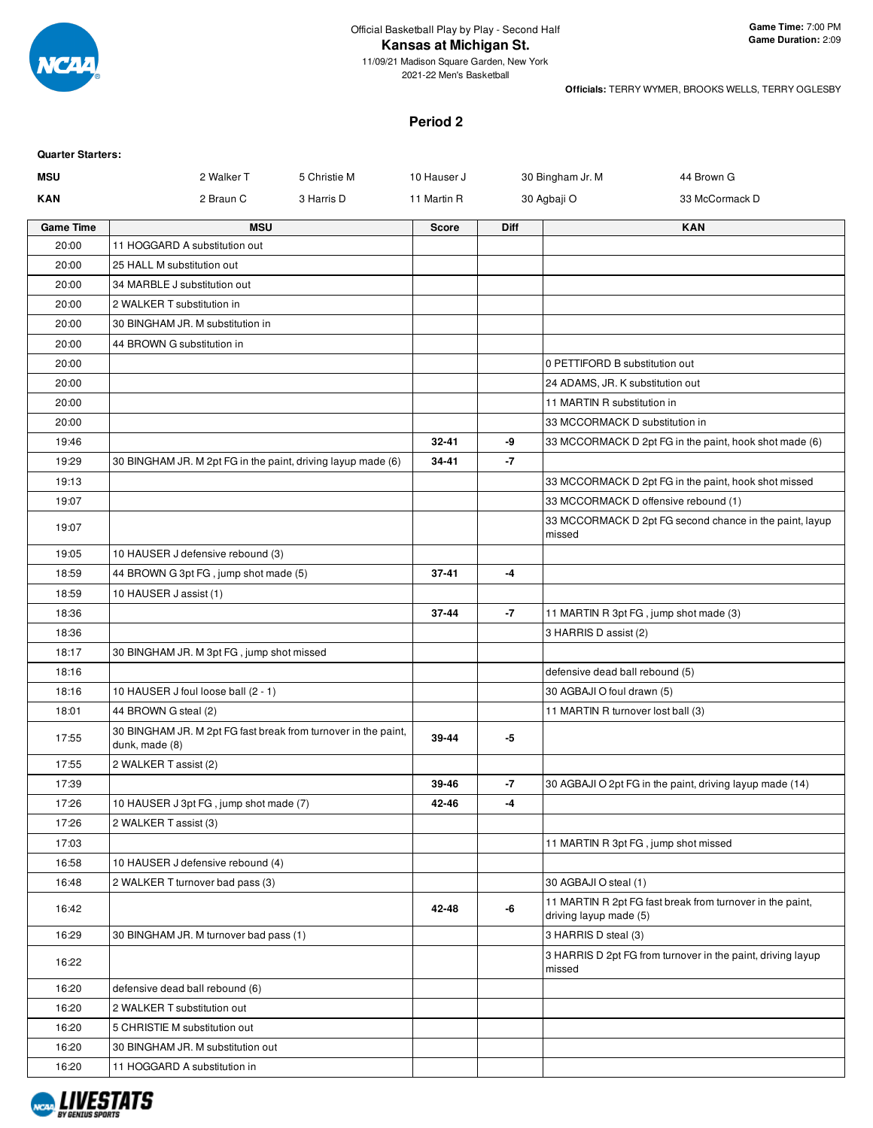

2021-22 Men's Basketball

**Officials:** TERRY WYMER, BROOKS WELLS, TERRY OGLESBY

#### **Period 2**

| <b>Quarter Starters:</b> |                                                                                  |              |              |             |                                        |                                                             |
|--------------------------|----------------------------------------------------------------------------------|--------------|--------------|-------------|----------------------------------------|-------------------------------------------------------------|
| <b>MSU</b>               | 2 Walker T                                                                       | 5 Christie M | 10 Hauser J  |             | 30 Bingham Jr. M                       | 44 Brown G                                                  |
| <b>KAN</b>               | 2 Braun C                                                                        | 3 Harris D   | 11 Martin R  |             | 30 Agbaji O                            | 33 McCormack D                                              |
| <b>Game Time</b>         | <b>MSU</b>                                                                       |              | <b>Score</b> | <b>Diff</b> |                                        | <b>KAN</b>                                                  |
| 20:00                    | 11 HOGGARD A substitution out                                                    |              |              |             |                                        |                                                             |
| 20:00                    | 25 HALL M substitution out                                                       |              |              |             |                                        |                                                             |
| 20:00                    | 34 MARBLE J substitution out                                                     |              |              |             |                                        |                                                             |
| 20:00                    | 2 WALKER T substitution in                                                       |              |              |             |                                        |                                                             |
| 20:00                    | 30 BINGHAM JR. M substitution in                                                 |              |              |             |                                        |                                                             |
| 20:00                    | 44 BROWN G substitution in                                                       |              |              |             |                                        |                                                             |
| 20:00                    |                                                                                  |              |              |             | 0 PETTIFORD B substitution out         |                                                             |
| 20:00                    |                                                                                  |              |              |             | 24 ADAMS, JR. K substitution out       |                                                             |
| 20:00                    |                                                                                  |              |              |             | 11 MARTIN R substitution in            |                                                             |
| 20:00                    |                                                                                  |              |              |             | 33 MCCORMACK D substitution in         |                                                             |
| 19:46                    |                                                                                  |              | $32 - 41$    | -9          |                                        | 33 MCCORMACK D 2pt FG in the paint, hook shot made (6)      |
| 19:29                    | 30 BINGHAM JR. M 2pt FG in the paint, driving layup made (6)                     |              | 34-41        | -7          |                                        |                                                             |
| 19:13                    |                                                                                  |              |              |             |                                        | 33 MCCORMACK D 2pt FG in the paint, hook shot missed        |
| 19:07                    |                                                                                  |              |              |             | 33 MCCORMACK D offensive rebound (1)   |                                                             |
| 19:07                    |                                                                                  |              |              |             | missed                                 | 33 MCCORMACK D 2pt FG second chance in the paint, layup     |
| 19:05                    | 10 HAUSER J defensive rebound (3)                                                |              |              |             |                                        |                                                             |
| 18:59                    | 44 BROWN G 3pt FG, jump shot made (5)                                            |              | $37 - 41$    | -4          |                                        |                                                             |
| 18:59                    | 10 HAUSER J assist (1)                                                           |              |              |             |                                        |                                                             |
| 18:36                    |                                                                                  |              | 37-44        | -7          | 11 MARTIN R 3pt FG, jump shot made (3) |                                                             |
| 18:36                    |                                                                                  |              |              |             | 3 HARRIS D assist (2)                  |                                                             |
| 18:17                    | 30 BINGHAM JR. M 3pt FG, jump shot missed                                        |              |              |             |                                        |                                                             |
| 18:16                    |                                                                                  |              |              |             | defensive dead ball rebound (5)        |                                                             |
| 18:16                    | 10 HAUSER J foul loose ball (2 - 1)                                              |              |              |             | 30 AGBAJI O foul drawn (5)             |                                                             |
| 18:01                    | 44 BROWN G steal (2)                                                             |              |              |             | 11 MARTIN R turnover lost ball (3)     |                                                             |
| 17:55                    | 30 BINGHAM JR. M 2pt FG fast break from turnover in the paint,<br>dunk, made (8) |              | 39-44        | -5          |                                        |                                                             |
| 17:55                    | 2 WALKER T assist (2)                                                            |              |              |             |                                        |                                                             |
| 17:39                    |                                                                                  |              | 39-46        | -7          |                                        | 30 AGBAJI O 2pt FG in the paint, driving layup made (14)    |
| 17:26                    | 10 HAUSER J 3pt FG, jump shot made (7)                                           |              | 42-46        | -4          |                                        |                                                             |
| 17:26                    | 2 WALKER T assist (3)                                                            |              |              |             |                                        |                                                             |
| 17:03                    |                                                                                  |              |              |             | 11 MARTIN R 3pt FG, jump shot missed   |                                                             |
| 16:58                    | 10 HAUSER J defensive rebound (4)                                                |              |              |             |                                        |                                                             |
| 16:48                    | 2 WALKER T turnover bad pass (3)                                                 |              |              |             | 30 AGBAJI O steal (1)                  |                                                             |
| 16:42                    |                                                                                  |              | 42-48        | -6          | driving layup made (5)                 | 11 MARTIN R 2pt FG fast break from turnover in the paint,   |
| 16:29                    | 30 BINGHAM JR. M turnover bad pass (1)                                           |              |              |             | 3 HARRIS D steal (3)                   |                                                             |
| 16:22                    |                                                                                  |              |              |             | missed                                 | 3 HARRIS D 2pt FG from turnover in the paint, driving layup |
| 16:20                    | defensive dead ball rebound (6)                                                  |              |              |             |                                        |                                                             |
| 16:20                    | 2 WALKER T substitution out                                                      |              |              |             |                                        |                                                             |
| 16:20                    | 5 CHRISTIE M substitution out                                                    |              |              |             |                                        |                                                             |
| 16:20                    | 30 BINGHAM JR. M substitution out                                                |              |              |             |                                        |                                                             |
| 16:20                    | 11 HOGGARD A substitution in                                                     |              |              |             |                                        |                                                             |

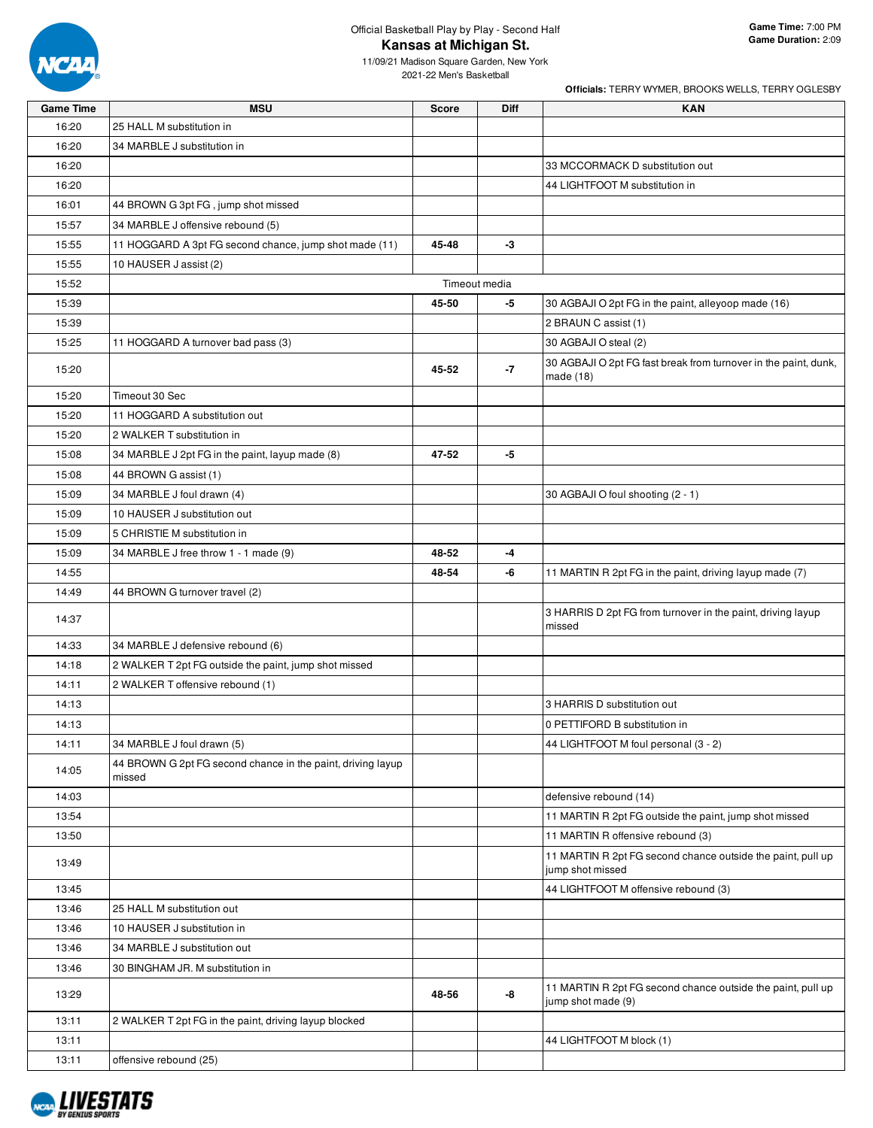

2021-22 Men's Basketball

| <b>Game Time</b> | <b>MSU</b>                                                            | <b>Score</b> | Diff          | <b>KAN</b>                                                                        |
|------------------|-----------------------------------------------------------------------|--------------|---------------|-----------------------------------------------------------------------------------|
| 16:20            | 25 HALL M substitution in                                             |              |               |                                                                                   |
| 16:20            | 34 MARBLE J substitution in                                           |              |               |                                                                                   |
| 16:20            |                                                                       |              |               | 33 MCCORMACK D substitution out                                                   |
| 16:20            |                                                                       |              |               | 44 LIGHTFOOT M substitution in                                                    |
| 16:01            | 44 BROWN G 3pt FG, jump shot missed                                   |              |               |                                                                                   |
| 15:57            | 34 MARBLE J offensive rebound (5)                                     |              |               |                                                                                   |
| 15:55            | 11 HOGGARD A 3pt FG second chance, jump shot made (11)                | 45-48        | -3            |                                                                                   |
| 15:55            | 10 HAUSER J assist (2)                                                |              |               |                                                                                   |
| 15:52            |                                                                       |              | Timeout media |                                                                                   |
| 15:39            |                                                                       | 45-50        | -5            | 30 AGBAJI O 2pt FG in the paint, alleyoop made (16)                               |
| 15:39            |                                                                       |              |               | 2 BRAUN C assist (1)                                                              |
| 15:25            | 11 HOGGARD A turnover bad pass (3)                                    |              |               | 30 AGBAJI O steal (2)                                                             |
| 15:20            |                                                                       | 45-52        | -7            | 30 AGBAJI O 2pt FG fast break from turnover in the paint, dunk,<br>made (18)      |
| 15:20            | Timeout 30 Sec                                                        |              |               |                                                                                   |
| 15:20            | 11 HOGGARD A substitution out                                         |              |               |                                                                                   |
| 15:20            | 2 WALKER T substitution in                                            |              |               |                                                                                   |
| 15:08            | 34 MARBLE J 2pt FG in the paint, layup made (8)                       | 47-52        | -5            |                                                                                   |
| 15:08            | 44 BROWN G assist (1)                                                 |              |               |                                                                                   |
| 15:09            | 34 MARBLE J foul drawn (4)                                            |              |               | 30 AGBAJI O foul shooting (2 - 1)                                                 |
| 15:09            | 10 HAUSER J substitution out                                          |              |               |                                                                                   |
| 15:09            | 5 CHRISTIE M substitution in                                          |              |               |                                                                                   |
| 15:09            | 34 MARBLE J free throw 1 - 1 made (9)                                 | 48-52        | -4            |                                                                                   |
| 14:55            |                                                                       | 48-54        | -6            | 11 MARTIN R 2pt FG in the paint, driving layup made (7)                           |
| 14:49            | 44 BROWN G turnover travel (2)                                        |              |               |                                                                                   |
| 14:37            |                                                                       |              |               | 3 HARRIS D 2pt FG from turnover in the paint, driving layup<br>missed             |
| 14:33            | 34 MARBLE J defensive rebound (6)                                     |              |               |                                                                                   |
| 14:18            | 2 WALKER T 2pt FG outside the paint, jump shot missed                 |              |               |                                                                                   |
| 14:11            | 2 WALKER T offensive rebound (1)                                      |              |               |                                                                                   |
| 14:13            |                                                                       |              |               | 3 HARRIS D substitution out                                                       |
| 14:13            |                                                                       |              |               | 0 PETTIFORD B substitution in                                                     |
| 14:11            | 34 MARBLE J foul drawn (5)                                            |              |               | 44 LIGHTFOOT M foul personal (3 - 2)                                              |
| 14:05            | 44 BROWN G 2pt FG second chance in the paint, driving layup<br>missed |              |               |                                                                                   |
| 14:03            |                                                                       |              |               | defensive rebound (14)                                                            |
| 13:54            |                                                                       |              |               | 11 MARTIN R 2pt FG outside the paint, jump shot missed                            |
| 13:50            |                                                                       |              |               | 11 MARTIN R offensive rebound (3)                                                 |
| 13:49            |                                                                       |              |               | 11 MARTIN R 2pt FG second chance outside the paint, pull up<br>jump shot missed   |
| 13:45            |                                                                       |              |               | 44 LIGHTFOOT M offensive rebound (3)                                              |
| 13:46            | 25 HALL M substitution out                                            |              |               |                                                                                   |
| 13:46            | 10 HAUSER J substitution in                                           |              |               |                                                                                   |
| 13:46            | 34 MARBLE J substitution out                                          |              |               |                                                                                   |
| 13:46            | 30 BINGHAM JR. M substitution in                                      |              |               |                                                                                   |
| 13:29            |                                                                       | 48-56        | -8            | 11 MARTIN R 2pt FG second chance outside the paint, pull up<br>jump shot made (9) |
| 13:11            | 2 WALKER T 2pt FG in the paint, driving layup blocked                 |              |               |                                                                                   |
| 13:11            |                                                                       |              |               | 44 LIGHTFOOT M block (1)                                                          |
| 13:11            | offensive rebound (25)                                                |              |               |                                                                                   |

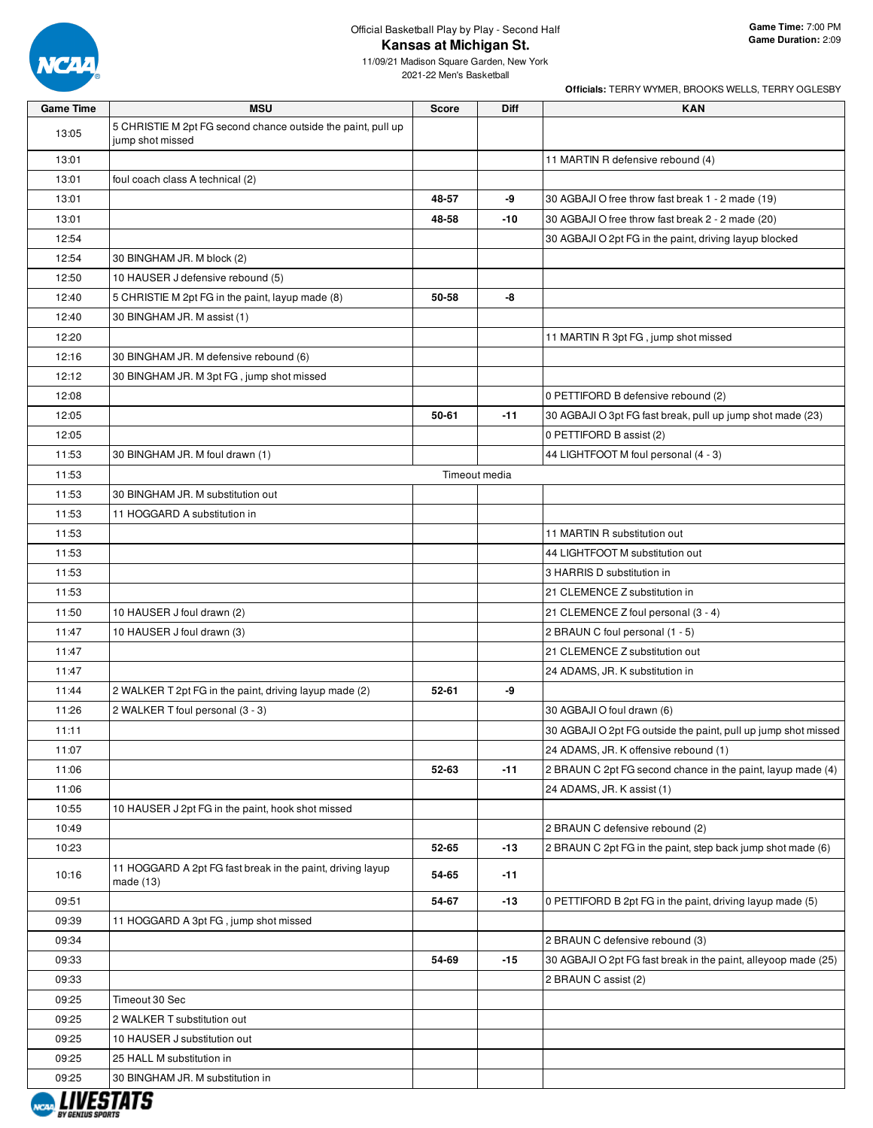

11/09/21 Madison Square Garden, New York 2021-22 Men's Basketball

| <b>Game Time</b> | <b>MSU</b>                                                                       | <b>Score</b> | Diff          | <b>KAN</b>                                                     |
|------------------|----------------------------------------------------------------------------------|--------------|---------------|----------------------------------------------------------------|
| 13:05            | 5 CHRISTIE M 2pt FG second chance outside the paint, pull up<br>jump shot missed |              |               |                                                                |
| 13:01            |                                                                                  |              |               | 11 MARTIN R defensive rebound (4)                              |
| 13:01            | foul coach class A technical (2)                                                 |              |               |                                                                |
| 13:01            |                                                                                  | 48-57        | -9            | 30 AGBAJI O free throw fast break 1 - 2 made (19)              |
| 13:01            |                                                                                  | 48-58        | -10           | 30 AGBAJI O free throw fast break 2 - 2 made (20)              |
| 12:54            |                                                                                  |              |               | 30 AGBAJI O 2pt FG in the paint, driving layup blocked         |
| 12:54            | 30 BINGHAM JR. M block (2)                                                       |              |               |                                                                |
| 12:50            | 10 HAUSER J defensive rebound (5)                                                |              |               |                                                                |
| 12:40            | 5 CHRISTIE M 2pt FG in the paint, layup made (8)                                 | 50-58        | -8            |                                                                |
| 12:40            | 30 BINGHAM JR. M assist (1)                                                      |              |               |                                                                |
| 12:20            |                                                                                  |              |               | 11 MARTIN R 3pt FG, jump shot missed                           |
| 12:16            | 30 BINGHAM JR. M defensive rebound (6)                                           |              |               |                                                                |
| 12:12            | 30 BINGHAM JR. M 3pt FG, jump shot missed                                        |              |               |                                                                |
| 12:08            |                                                                                  |              |               | 0 PETTIFORD B defensive rebound (2)                            |
| 12:05            |                                                                                  | 50-61        | $-11$         | 30 AGBAJI O 3pt FG fast break, pull up jump shot made (23)     |
| 12:05            |                                                                                  |              |               | 0 PETTIFORD B assist (2)                                       |
| 11:53            | 30 BINGHAM JR. M foul drawn (1)                                                  |              |               | 44 LIGHTFOOT M foul personal (4 - 3)                           |
| 11:53            |                                                                                  |              | Timeout media |                                                                |
| 11:53            | 30 BINGHAM JR. M substitution out                                                |              |               |                                                                |
| 11:53            | 11 HOGGARD A substitution in                                                     |              |               |                                                                |
| 11:53            |                                                                                  |              |               | 11 MARTIN R substitution out                                   |
| 11:53            |                                                                                  |              |               | 44 LIGHTFOOT M substitution out                                |
| 11:53            |                                                                                  |              |               | 3 HARRIS D substitution in                                     |
| 11:53            |                                                                                  |              |               | 21 CLEMENCE Z substitution in                                  |
| 11:50            | 10 HAUSER J foul drawn (2)                                                       |              |               | 21 CLEMENCE Z foul personal (3 - 4)                            |
| 11:47            | 10 HAUSER J foul drawn (3)                                                       |              |               | 2 BRAUN C foul personal (1 - 5)                                |
| 11:47            |                                                                                  |              |               | 21 CLEMENCE Z substitution out                                 |
| 11:47            |                                                                                  |              |               | 24 ADAMS, JR. K substitution in                                |
| 11:44            | 2 WALKER T 2pt FG in the paint, driving layup made (2)                           | $52 - 61$    | -9            |                                                                |
| 11:26            | 2 WALKER T foul personal (3 - 3)                                                 |              |               | 30 AGBAJI O foul drawn (6)                                     |
| 11:11            |                                                                                  |              |               | 30 AGBAJI O 2pt FG outside the paint, pull up jump shot missed |
| 11:07            |                                                                                  |              |               | 24 ADAMS, JR. K offensive rebound (1)                          |
| 11:06            |                                                                                  | 52-63        | $-11$         | 2 BRAUN C 2pt FG second chance in the paint, layup made (4)    |
| 11:06            |                                                                                  |              |               | 24 ADAMS, JR. K assist (1)                                     |
| 10:55            | 10 HAUSER J 2pt FG in the paint, hook shot missed                                |              |               |                                                                |
| 10:49            |                                                                                  |              |               | 2 BRAUN C defensive rebound (2)                                |
| 10:23            |                                                                                  | 52-65        | $-13$         | 2 BRAUN C 2pt FG in the paint, step back jump shot made (6)    |
| 10:16            | 11 HOGGARD A 2pt FG fast break in the paint, driving layup<br>made $(13)$        | 54-65        | $-11$         |                                                                |
| 09:51            |                                                                                  | 54-67        | $-13$         | 0 PETTIFORD B 2pt FG in the paint, driving layup made (5)      |
| 09:39            | 11 HOGGARD A 3pt FG, jump shot missed                                            |              |               |                                                                |
| 09:34            |                                                                                  |              |               | 2 BRAUN C defensive rebound (3)                                |
| 09:33            |                                                                                  | 54-69        | $-15$         | 30 AGBAJI O 2pt FG fast break in the paint, alleyoop made (25) |
| 09:33            |                                                                                  |              |               | 2 BRAUN C assist (2)                                           |
| 09:25            | Timeout 30 Sec                                                                   |              |               |                                                                |
| 09:25            | 2 WALKER T substitution out                                                      |              |               |                                                                |
| 09:25            | 10 HAUSER J substitution out                                                     |              |               |                                                                |
| 09:25            | 25 HALL M substitution in                                                        |              |               |                                                                |
| 09:25            | 30 BINGHAM JR. M substitution in                                                 |              |               |                                                                |

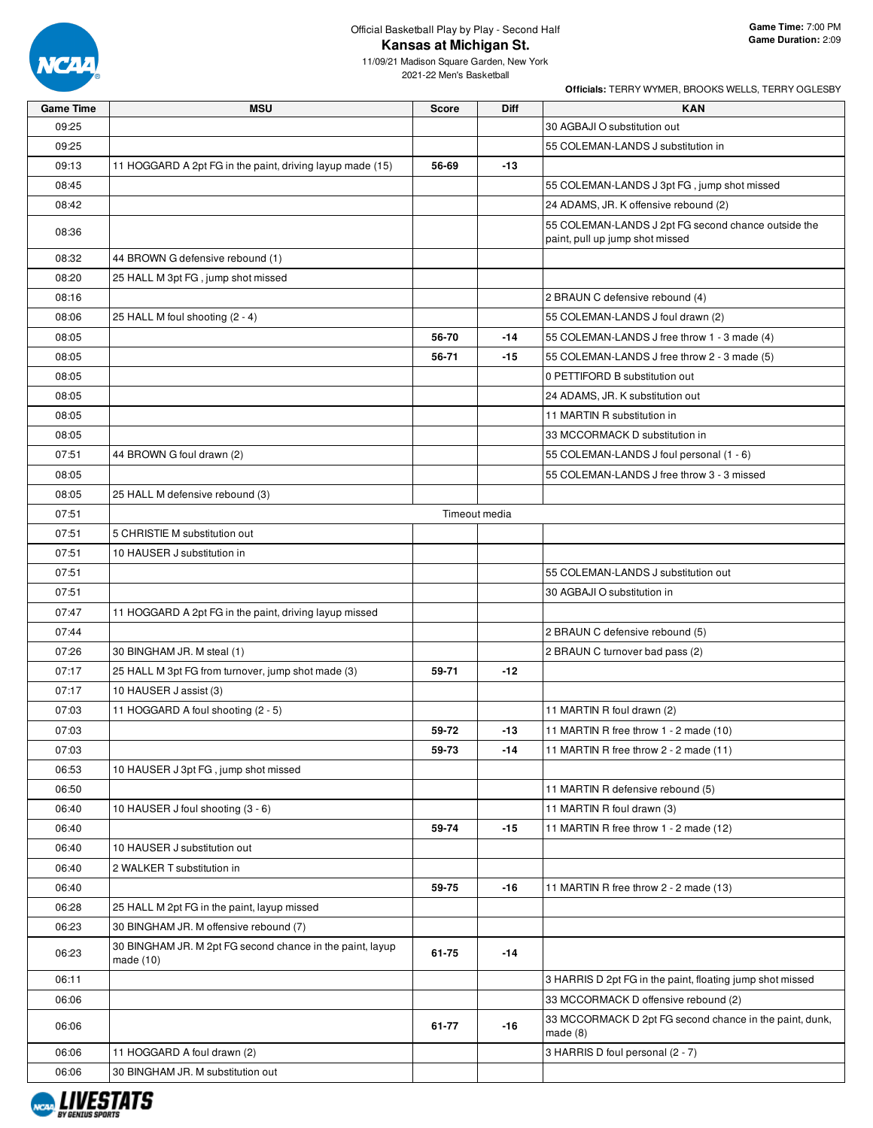

**Officials:** TERRY WYMER, BROOKS WELLS, TERRY OGLESBY

11/09/21 Madison Square Garden, New York 2021-22 Men's Basketball

| <b>Game Time</b> | <b>MSU</b>                                                | <b>Score</b> | Diff          | <b>KAN</b>                                                                             |
|------------------|-----------------------------------------------------------|--------------|---------------|----------------------------------------------------------------------------------------|
| 09:25            |                                                           |              |               | 30 AGBAJI O substitution out                                                           |
| 09:25            |                                                           |              |               | 55 COLEMAN-LANDS J substitution in                                                     |
| 09:13            | 11 HOGGARD A 2pt FG in the paint, driving layup made (15) | 56-69        | -13           |                                                                                        |
| 08:45            |                                                           |              |               | 55 COLEMAN-LANDS J 3pt FG, jump shot missed                                            |
| 08:42            |                                                           |              |               | 24 ADAMS, JR. K offensive rebound (2)                                                  |
| 08:36            |                                                           |              |               | 55 COLEMAN-LANDS J 2pt FG second chance outside the<br>paint, pull up jump shot missed |
| 08:32            | 44 BROWN G defensive rebound (1)                          |              |               |                                                                                        |
| 08:20            | 25 HALL M 3pt FG, jump shot missed                        |              |               |                                                                                        |
| 08:16            |                                                           |              |               | 2 BRAUN C defensive rebound (4)                                                        |
| 08:06            | 25 HALL M foul shooting (2 - 4)                           |              |               | 55 COLEMAN-LANDS J foul drawn (2)                                                      |
| 08:05            |                                                           | 56-70        | $-14$         | 55 COLEMAN-LANDS J free throw 1 - 3 made (4)                                           |
| 08:05            |                                                           | 56-71        | -15           | 55 COLEMAN-LANDS J free throw 2 - 3 made (5)                                           |
| 08:05            |                                                           |              |               | 0 PETTIFORD B substitution out                                                         |
| 08:05            |                                                           |              |               | 24 ADAMS, JR. K substitution out                                                       |
| 08:05            |                                                           |              |               | 11 MARTIN R substitution in                                                            |
| 08:05            |                                                           |              |               | 33 MCCORMACK D substitution in                                                         |
| 07:51            | 44 BROWN G foul drawn (2)                                 |              |               | 55 COLEMAN-LANDS J foul personal (1 - 6)                                               |
| 08:05            |                                                           |              |               | 55 COLEMAN-LANDS J free throw 3 - 3 missed                                             |
| 08:05            | 25 HALL M defensive rebound (3)                           |              |               |                                                                                        |
| 07:51            |                                                           |              | Timeout media |                                                                                        |
| 07:51            | 5 CHRISTIE M substitution out                             |              |               |                                                                                        |
| 07:51            | 10 HAUSER J substitution in                               |              |               |                                                                                        |
| 07:51            |                                                           |              |               | 55 COLEMAN-LANDS J substitution out                                                    |
| 07:51            |                                                           |              |               | 30 AGBAJI O substitution in                                                            |
| 07:47            | 11 HOGGARD A 2pt FG in the paint, driving layup missed    |              |               |                                                                                        |
| 07:44            |                                                           |              |               | 2 BRAUN C defensive rebound (5)                                                        |
| 07:26            | 30 BINGHAM JR. M steal (1)                                |              |               | 2 BRAUN C turnover bad pass (2)                                                        |
| 07:17            | 25 HALL M 3pt FG from turnover, jump shot made (3)        | 59-71        | -12           |                                                                                        |
| 07:17            | 10 HAUSER J assist (3)                                    |              |               |                                                                                        |
| 07:03            | 11 HOGGARD A foul shooting (2 - 5)                        |              |               | 11 MARTIN R foul drawn (2)                                                             |
| 07:03            |                                                           | 59-72        | $-13$         | 11 MARTIN R free throw 1 - 2 made (10)                                                 |
| 07:03            |                                                           | 59-73        | -14           | 11 MARTIN R free throw 2 - 2 made (11)                                                 |
| 06:53            | 10 HAUSER J 3pt FG, jump shot missed                      |              |               |                                                                                        |
| 06:50            |                                                           |              |               | 11 MARTIN R defensive rebound (5)                                                      |
| 06:40            | 10 HAUSER J foul shooting (3 - 6)                         |              |               | 11 MARTIN R foul drawn (3)                                                             |
| 06:40            |                                                           | 59-74        | $-15$         | 11 MARTIN R free throw 1 - 2 made (12)                                                 |
| 06:40            | 10 HAUSER J substitution out                              |              |               |                                                                                        |
| 06:40            | 2 WALKER T substitution in                                |              |               |                                                                                        |
| 06:40            |                                                           | 59-75        | -16           | 11 MARTIN R free throw 2 - 2 made (13)                                                 |
| 06:28            | 25 HALL M 2pt FG in the paint, layup missed               |              |               |                                                                                        |
| 06:23            | 30 BINGHAM JR. M offensive rebound (7)                    |              |               |                                                                                        |
|                  | 30 BINGHAM JR. M 2pt FG second chance in the paint, layup |              |               |                                                                                        |
| 06:23            | made $(10)$                                               | 61-75        | $-14$         |                                                                                        |
| 06:11            |                                                           |              |               | 3 HARRIS D 2pt FG in the paint, floating jump shot missed                              |
| 06:06            |                                                           |              |               | 33 MCCORMACK D offensive rebound (2)                                                   |
| 06:06            |                                                           | 61-77        | $-16$         | 33 MCCORMACK D 2pt FG second chance in the paint, dunk,<br>made $(8)$                  |
| 06:06            | 11 HOGGARD A foul drawn (2)                               |              |               | 3 HARRIS D foul personal (2 - 7)                                                       |
| 06:06            | 30 BINGHAM JR. M substitution out                         |              |               |                                                                                        |

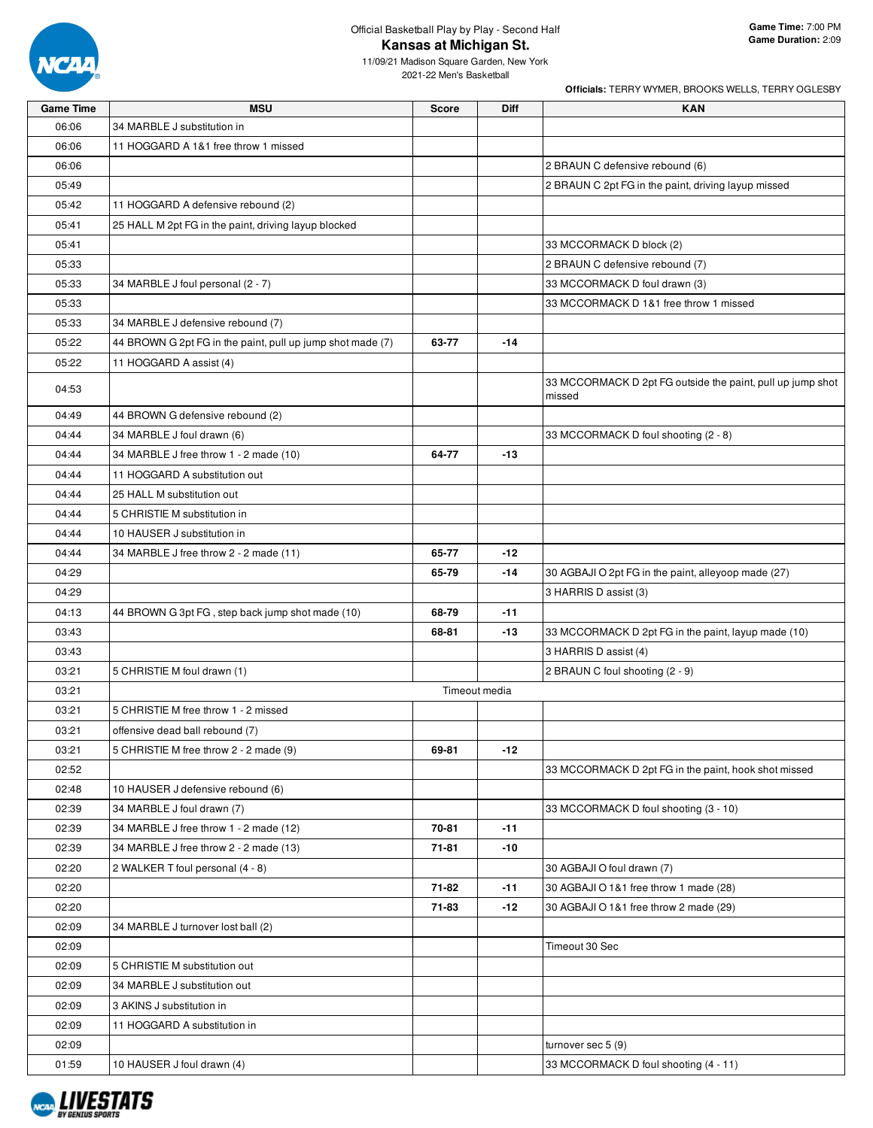

**Officials:** TERRY WYMER, BROOKS WELLS, TERRY OGLESBY

11/09/21 Madison Square Garden, New York 2021-22 Men's Basketball

| <b>Game Time</b> | <b>MSU</b>                                                 | <b>Score</b> | Diff          | <b>KAN</b>                                                           |
|------------------|------------------------------------------------------------|--------------|---------------|----------------------------------------------------------------------|
| 06:06            | 34 MARBLE J substitution in                                |              |               |                                                                      |
| 06:06            | 11 HOGGARD A 1&1 free throw 1 missed                       |              |               |                                                                      |
| 06:06            |                                                            |              |               | 2 BRAUN C defensive rebound (6)                                      |
| 05:49            |                                                            |              |               | 2 BRAUN C 2pt FG in the paint, driving layup missed                  |
| 05:42            | 11 HOGGARD A defensive rebound (2)                         |              |               |                                                                      |
| 05:41            | 25 HALL M 2pt FG in the paint, driving layup blocked       |              |               |                                                                      |
| 05:41            |                                                            |              |               | 33 MCCORMACK D block (2)                                             |
| 05:33            |                                                            |              |               | 2 BRAUN C defensive rebound (7)                                      |
| 05:33            | 34 MARBLE J foul personal (2 - 7)                          |              |               | 33 MCCORMACK D foul drawn (3)                                        |
| 05:33            |                                                            |              |               | 33 MCCORMACK D 1&1 free throw 1 missed                               |
| 05:33            | 34 MARBLE J defensive rebound (7)                          |              |               |                                                                      |
| 05:22            | 44 BROWN G 2pt FG in the paint, pull up jump shot made (7) | 63-77        | $-14$         |                                                                      |
| 05:22            | 11 HOGGARD A assist (4)                                    |              |               |                                                                      |
| 04:53            |                                                            |              |               | 33 MCCORMACK D 2pt FG outside the paint, pull up jump shot<br>missed |
| 04:49            | 44 BROWN G defensive rebound (2)                           |              |               |                                                                      |
| 04:44            | 34 MARBLE J foul drawn (6)                                 |              |               | 33 MCCORMACK D foul shooting (2 - 8)                                 |
| 04:44            | 34 MARBLE J free throw 1 - 2 made (10)                     | 64-77        | $-13$         |                                                                      |
| 04:44            | 11 HOGGARD A substitution out                              |              |               |                                                                      |
| 04:44            | 25 HALL M substitution out                                 |              |               |                                                                      |
| 04:44            | 5 CHRISTIE M substitution in                               |              |               |                                                                      |
| 04:44            | 10 HAUSER J substitution in                                |              |               |                                                                      |
| 04:44            | 34 MARBLE J free throw 2 - 2 made (11)                     | 65-77        | -12           |                                                                      |
| 04:29            |                                                            | 65-79        | $-14$         | 30 AGBAJI O 2pt FG in the paint, alleyoop made (27)                  |
| 04:29            |                                                            |              |               | 3 HARRIS D assist (3)                                                |
| 04:13            | 44 BROWN G 3pt FG, step back jump shot made (10)           | 68-79        | $-11$         |                                                                      |
| 03:43            |                                                            | 68-81        | $-13$         | 33 MCCORMACK D 2pt FG in the paint, layup made (10)                  |
| 03:43            |                                                            |              |               | 3 HARRIS D assist (4)                                                |
| 03:21            | 5 CHRISTIE M foul drawn (1)                                |              |               | 2 BRAUN C foul shooting (2 - 9)                                      |
| 03:21            |                                                            |              | Timeout media |                                                                      |
| 03:21            | 5 CHRISTIE M free throw 1 - 2 missed                       |              |               |                                                                      |
| 03:21            | offensive dead ball rebound (7)                            |              |               |                                                                      |
| 03:21            | 5 CHRISTIE M free throw 2 - 2 made (9)                     | 69-81        | $-12$         |                                                                      |
| 02:52            |                                                            |              |               | 33 MCCORMACK D 2pt FG in the paint, hook shot missed                 |
| 02:48            | 10 HAUSER J defensive rebound (6)                          |              |               |                                                                      |
| 02:39            | 34 MARBLE J foul drawn (7)                                 |              |               | 33 MCCORMACK D foul shooting (3 - 10)                                |
| 02:39            | 34 MARBLE J free throw 1 - 2 made (12)                     | 70-81        | $-11$         |                                                                      |
| 02:39            | 34 MARBLE J free throw 2 - 2 made (13)                     | 71-81        | -10           |                                                                      |
| 02:20            | 2 WALKER T foul personal (4 - 8)                           |              |               | 30 AGBAJI O foul drawn (7)                                           |
| 02:20            |                                                            | 71-82        | $-11$         | 30 AGBAJI O 1&1 free throw 1 made (28)                               |
| 02:20            |                                                            | 71-83        | -12           | 30 AGBAJI O 1&1 free throw 2 made (29)                               |
| 02:09            | 34 MARBLE J turnover lost ball (2)                         |              |               |                                                                      |
| 02:09            |                                                            |              |               | Timeout 30 Sec                                                       |
| 02:09            | 5 CHRISTIE M substitution out                              |              |               |                                                                      |
| 02:09            | 34 MARBLE J substitution out                               |              |               |                                                                      |
| 02:09            | 3 AKINS J substitution in                                  |              |               |                                                                      |
| 02:09            | 11 HOGGARD A substitution in                               |              |               |                                                                      |
| 02:09            |                                                            |              |               | turnover sec $5(9)$                                                  |
| 01:59            | 10 HAUSER J foul drawn (4)                                 |              |               | 33 MCCORMACK D foul shooting (4 - 11)                                |

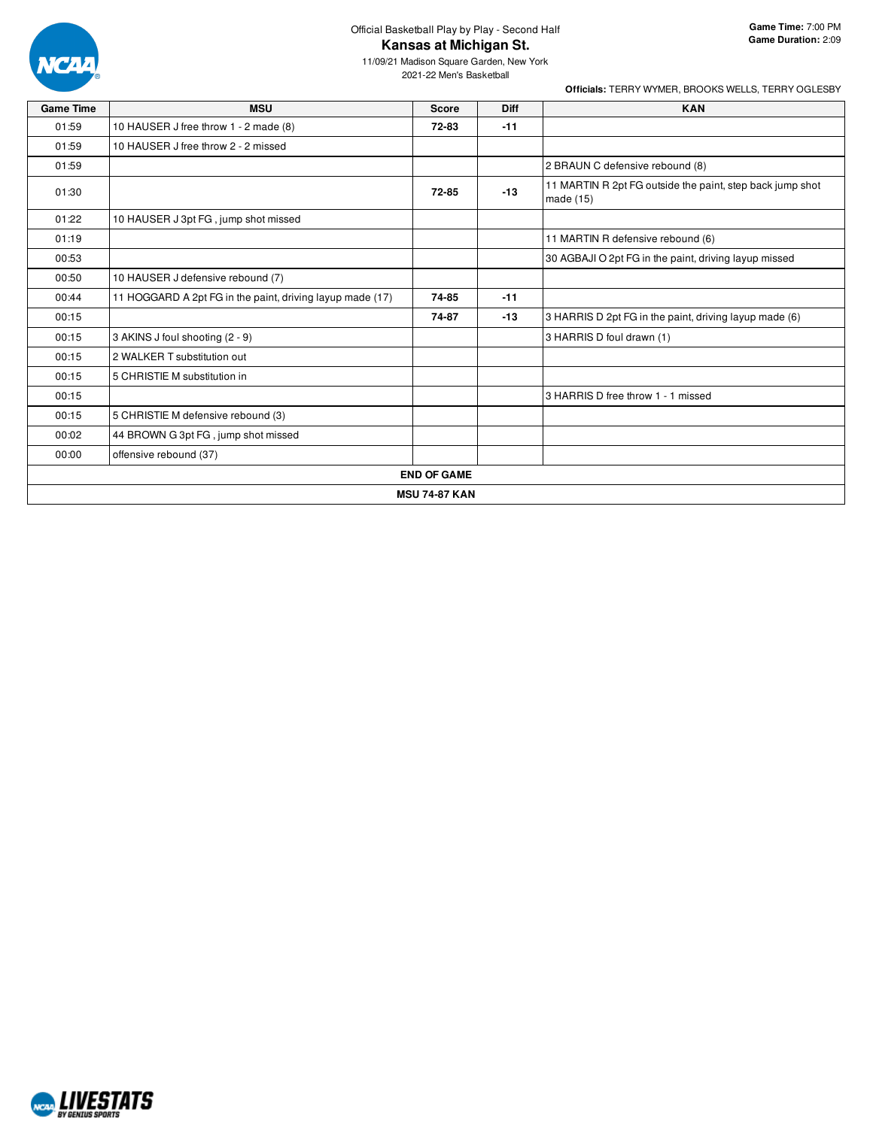

11/09/21 Madison Square Garden, New York 2021-22 Men's Basketball

| <b>Game Time</b> | <b>MSU</b>                                                | <b>Score</b>       | <b>Diff</b> | <b>KAN</b>                                                             |  |  |  |  |  |
|------------------|-----------------------------------------------------------|--------------------|-------------|------------------------------------------------------------------------|--|--|--|--|--|
| 01:59            | 10 HAUSER J free throw 1 - 2 made (8)                     | 72-83              | $-11$       |                                                                        |  |  |  |  |  |
| 01:59            | 10 HAUSER J free throw 2 - 2 missed                       |                    |             |                                                                        |  |  |  |  |  |
| 01:59            |                                                           |                    |             | 2 BRAUN C defensive rebound (8)                                        |  |  |  |  |  |
| 01:30            |                                                           | 72-85              | $-13$       | 11 MARTIN R 2pt FG outside the paint, step back jump shot<br>made (15) |  |  |  |  |  |
| 01:22            | 10 HAUSER J 3pt FG, jump shot missed                      |                    |             |                                                                        |  |  |  |  |  |
| 01:19            |                                                           |                    |             | 11 MARTIN R defensive rebound (6)                                      |  |  |  |  |  |
| 00:53            |                                                           |                    |             | 30 AGBAJI O 2pt FG in the paint, driving layup missed                  |  |  |  |  |  |
| 00:50            | 10 HAUSER J defensive rebound (7)                         |                    |             |                                                                        |  |  |  |  |  |
| 00:44            | 11 HOGGARD A 2pt FG in the paint, driving layup made (17) | 74-85              | $-11$       |                                                                        |  |  |  |  |  |
| 00:15            |                                                           | 74-87              | $-13$       | 3 HARRIS D 2pt FG in the paint, driving layup made (6)                 |  |  |  |  |  |
| 00:15            | 3 AKINS J foul shooting (2 - 9)                           |                    |             | 3 HARRIS D foul drawn (1)                                              |  |  |  |  |  |
| 00:15            | 2 WALKER T substitution out                               |                    |             |                                                                        |  |  |  |  |  |
| 00:15            | 5 CHRISTIE M substitution in                              |                    |             |                                                                        |  |  |  |  |  |
| 00:15            |                                                           |                    |             | 3 HARRIS D free throw 1 - 1 missed                                     |  |  |  |  |  |
| 00:15            | 5 CHRISTIE M defensive rebound (3)                        |                    |             |                                                                        |  |  |  |  |  |
| 00:02            | 44 BROWN G 3pt FG, jump shot missed                       |                    |             |                                                                        |  |  |  |  |  |
| 00:00            | offensive rebound (37)                                    |                    |             |                                                                        |  |  |  |  |  |
|                  |                                                           | <b>END OF GAME</b> |             |                                                                        |  |  |  |  |  |
|                  | <b>MSU 74-87 KAN</b>                                      |                    |             |                                                                        |  |  |  |  |  |

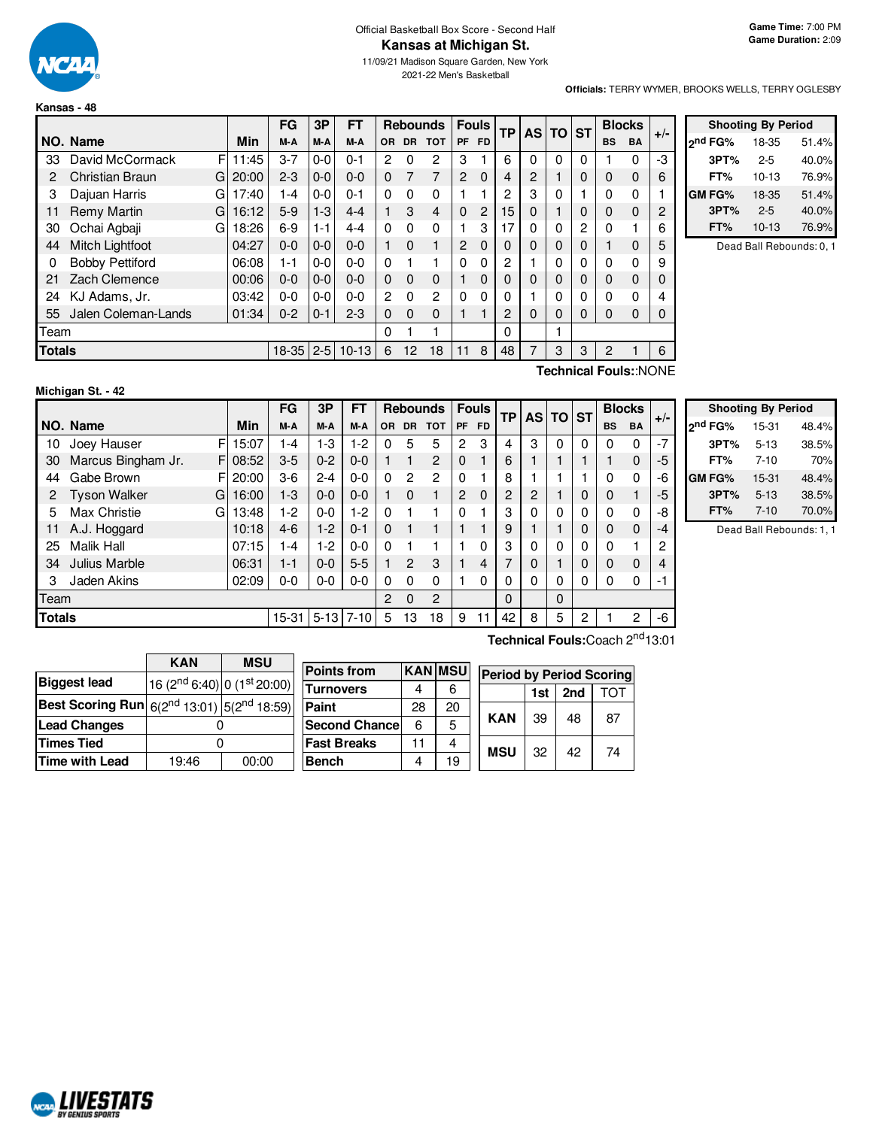

#### Official Basketball Box Score - Second Half **Kansas at Michigan St.**

11/09/21 Madison Square Garden, New York 2021-22 Men's Basketball

**Officials:** TERRY WYMER, BROOKS WELLS, TERRY OGLESBY

|      |                                |   |       | FG      | 3P      | FT      | <b>Rebounds</b> |                 | <b>Fouls</b>   |                | ТP             |    | AS TO ST |          |   | <b>Blocks</b> |                      |       |
|------|--------------------------------|---|-------|---------|---------|---------|-----------------|-----------------|----------------|----------------|----------------|----|----------|----------|---|---------------|----------------------|-------|
|      | NO. Name                       |   | Min   | M-A     | M-A     | M-A     | <b>OR</b>       | DR.             | <b>TOT</b>     | <b>PF</b>      | <b>FD</b>      |    |          |          |   | <b>BS</b>     | <b>BA</b>            | $+/-$ |
| 33   | David McCormack                | F | 11:45 | $3 - 7$ | $0 - 0$ | $0 - 1$ | 2               | 0               | 2              | 3              |                | 6  | 0        | 0        | 0 |               | 0                    | -3    |
| 2    | Christian Braun                | G | 20:00 | $2 - 3$ | $0 - 0$ | $0 - 0$ | $\Omega$        |                 | 7              | 2              | $\Omega$       | 4  | 2        |          | 0 | 0             | $\Omega$             | 6     |
| 3    | Dajuan Harris                  | G | 17:40 | 1-4     | $0 - 0$ | $0 - 1$ | $\Omega$        | $\Omega$        | $\Omega$       |                |                | 2  | 3        | 0        |   | 0             | $\Omega$             |       |
| 11   | <b>Remy Martin</b>             | G | 16:12 | $5-9$   | $1-3$   | $4 - 4$ |                 | 3               | 4              | $\Omega$       | $\overline{2}$ | 15 | 0        |          | 0 | $\Omega$      | $\Omega$             | 2     |
| 30   | Ochai Agbaji                   | G | 18:26 | $6-9$   | 1-1     | $4 - 4$ | $\Omega$        | $\Omega$        | $\Omega$       |                | 3              | 17 | 0        | 0        | 2 | 0             |                      | 6     |
| 44   | Mitch Lightfoot                |   | 04:27 | $0 - 0$ | $0 - 0$ | $0 - 0$ |                 | $\Omega$        | 1              | $\overline{2}$ | $\Omega$       | 0  | 0        | 0        | 0 |               | $\Omega$             | 5     |
| 0    | <b>Bobby Pettiford</b>         |   | 06:08 | 1-1     | $0 - 0$ | $0 - 0$ | $\Omega$        |                 |                | $\Omega$       | $\Omega$       | 2  |          | 0        | 0 | 0             | 0                    | 9     |
| 21   | Zach Clemence                  |   | 00:06 | $0 - 0$ | $0 - 0$ | $0 - 0$ | $\Omega$        | $\Omega$        | $\Omega$       |                | $\Omega$       | 0  | 0        | 0        | 0 | $\Omega$      | $\Omega$             | 0     |
| 24   | KJ Adams, Jr.                  |   | 03:42 | $0 - 0$ | $0 - 0$ | $0 - 0$ | $\overline{2}$  | $\Omega$        | $\overline{2}$ | $\Omega$       | $\Omega$       | 0  |          | 0        | 0 | 0             | 0                    | 4     |
| 55   | Jalen Coleman-Lands            |   | 01:34 | $0 - 2$ | $0 - 1$ | $2 - 3$ | $\Omega$        | $\Omega$        | $\Omega$       |                |                | 2  | $\Omega$ | $\Omega$ | 0 | $\Omega$      | $\Omega$             | 0     |
| Team |                                |   |       |         |         |         | 0               |                 |                |                |                | 0  |          |          |   |               |                      |       |
|      | <b>Totals</b><br>$18-35$   2-5 |   |       |         |         | $10-13$ | 6               | 12 <sup>°</sup> | 18             | 11             | 8              | 48 | 7        | 3        | 3 | 2             |                      | 6     |
|      |                                |   |       |         |         |         |                 |                 |                |                |                |    |          |          |   |               | Toobnical FoulouNONE |       |

|         | <b>Shooting By Period</b> |       |
|---------|---------------------------|-------|
| ond FG% | 18-35                     | 51.4% |
| 3PT%    | $2 - 5$                   | 40.0% |
| FT%     | $10 - 13$                 | 76.9% |
| GM FG%  | 18-35                     | 51.4% |
| 3PT%    | $2 - 5$                   | 40.0% |
| FT%     | $10 - 13$                 | 76.9% |

Dead Ball Rebounds: 0, 1

| Michigan St. - 42 |  |
|-------------------|--|
|-------------------|--|

NCAL LIVESTATS

**Technical Fouls:**:NONE

|               |                          |       | FG        | 3P       | <b>FT</b> | <b>Rebounds</b> |                | <b>Fouls</b>   |          | ТP        |                | AS TO ST |          |          | <b>Blocks</b> |              |       |
|---------------|--------------------------|-------|-----------|----------|-----------|-----------------|----------------|----------------|----------|-----------|----------------|----------|----------|----------|---------------|--------------|-------|
|               | NO. Name                 | Min   | M-A       | M-A      | M-A       | <b>OR</b>       | <b>DR</b>      | <b>TOT</b>     | PF       | <b>FD</b> |                |          |          |          | <b>BS</b>     | <b>BA</b>    | $+/-$ |
| 10            | F<br>Joey Hauser         | 15:07 | 1-4       | $1 - 3$  | 1-2       | 0               | 5              | 5              | 2        | 3         | 4              | 3        | 0        | 0        | $\Omega$      | $\Omega$     | $-7$  |
| 30            | Marcus Bingham Jr.<br>F  | 08:52 | $3-5$     | $0 - 2$  | $0 - 0$   |                 |                | 2              | $\Omega$ |           | 6              |          |          |          |               | $\Omega$     | -5    |
| 44            | Gabe Brown<br>F          | 20:00 | $3-6$     | $2 - 4$  | $0 - 0$   | $\Omega$        | 2              | $\overline{2}$ | 0        |           | 8              |          |          |          | 0             | $\mathbf{0}$ | -6    |
| 2             | <b>Tyson Walker</b><br>G | 16:00 | $1-3$     | $0 - 0$  | $0 - 0$   |                 | $\Omega$       |                | 2        | $\Omega$  | 2              | 2        |          | 0        | 0             |              | -5    |
| 5             | Max Christie<br>G        | 13:48 | 1-2       | $0-0$    | $1-2$     | $\Omega$        |                |                | 0        |           | 3              | 0        | 0        | 0        | $\Omega$      | 0            | -8    |
| 11            | A.J. Hoggard             | 10:18 | $4-6$     | $1 - 2$  | $0 - 1$   | $\Omega$        |                |                |          |           | 9              |          |          | $\Omega$ | $\Omega$      | $\Omega$     | $-4$  |
| 25            | <b>Malik Hall</b>        | 07:15 | 1-4       | $1-2$    | $0 - 0$   | $\Omega$        |                |                |          | $\Omega$  | 3              | 0        | 0        | 0        | $\Omega$      |              | 2     |
| 34            | Julius Marble            | 06:31 | 1-1       | $0 - 0$  | $5-5$     |                 | $\mathfrak{p}$ | 3              |          | 4         | $\overline{ }$ | 0        |          | 0        | 0             | $\Omega$     | 4     |
| 3             | Jaden Akins              | 02:09 | 0-0       | $0-0$    | $0 - 0$   | $\Omega$        | $\Omega$       | $\Omega$       |          | $\Omega$  | 0              | 0        | 0        | 0        | $\Omega$      | 0            | -1    |
| Team          |                          |       |           |          |           | 2               | $\Omega$       | $\overline{c}$ |          |           | $\Omega$       |          | $\Omega$ |          |               |              |       |
| <b>Totals</b> |                          |       | $15 - 31$ | $5 - 13$ | $7 - 10$  | 5               | 13             | 18             | 9        |           | 42             | 8        | 5        | 2        |               | 2            | -6    |

|                     | <b>Shooting By Period</b> |       |
|---------------------|---------------------------|-------|
| 2 <sup>nd</sup> FG% | 15-31                     | 48.4% |
| 3PT%                | $5 - 13$                  | 38.5% |
| FT%                 | $7 - 10$                  | 70%   |
| GM FG%              | 15-31                     | 48.4% |
| 3PT%                | $5 - 13$                  | 38.5% |
| FT%                 | $7 - 10$                  | 70.0% |

Dead Ball Rebounds: 1, 1

|                                                                                        | KAN                                                 | <b>MSU</b> |
|----------------------------------------------------------------------------------------|-----------------------------------------------------|------------|
| <b>Biggest lead</b>                                                                    | 16 (2 <sup>nd</sup> 6:40) 0 (1 <sup>st</sup> 20:00) |            |
| Best Scoring Run $ \mathfrak{g}(2^{\text{nd}}13:01) \mathfrak{g}(2^{\text{nd}}18:59) $ |                                                     |            |
| <b>Lead Changes</b>                                                                    |                                                     |            |
| <b>Times Tied</b>                                                                      |                                                     |            |
| <b>Time with Lead</b>                                                                  | 19:46                                               | 00:00      |

| <b>Points from</b>    |    | <b>KAN MSU</b> | <b>Period by Period Scoring</b> |     |     |     |  |  |  |  |  |
|-----------------------|----|----------------|---------------------------------|-----|-----|-----|--|--|--|--|--|
| <b>Turnovers</b>      |    | 6              |                                 | 1st | 2nd | TOT |  |  |  |  |  |
| Paint                 | 28 | 20             |                                 |     |     |     |  |  |  |  |  |
| <b>Second Chancel</b> | 6  | 5              | <b>KAN</b>                      | 39  | 48  | 87  |  |  |  |  |  |
| <b>Fast Breaks</b>    | 11 | 4              | <b>MSU</b>                      | 32  | 42  | 74  |  |  |  |  |  |
| <b>Bench</b>          |    | 19             |                                 |     |     |     |  |  |  |  |  |

**Technical Fouls:**Coach 2 nd13:01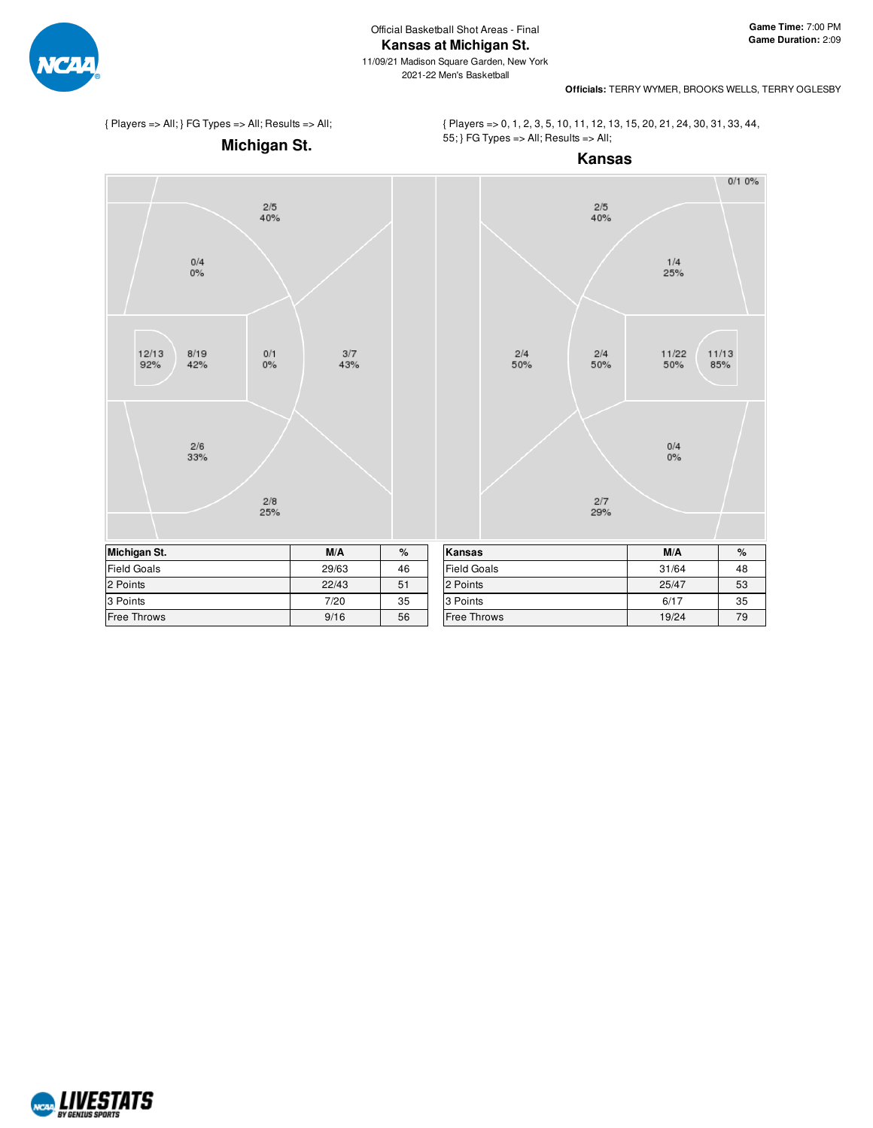

11/09/21 Madison Square Garden, New York 2021-22 Men's Basketball



**Officials:** TERRY WYMER, BROOKS WELLS, TERRY OGLESBY

{ Players => All; } FG Types => All; Results => All;

{ Players => 0, 1, 2, 3, 5, 10, 11, 12, 13, 15, 20, 21, 24, 30, 31, 33, 44, 55; } FG Types => All; Results => All;



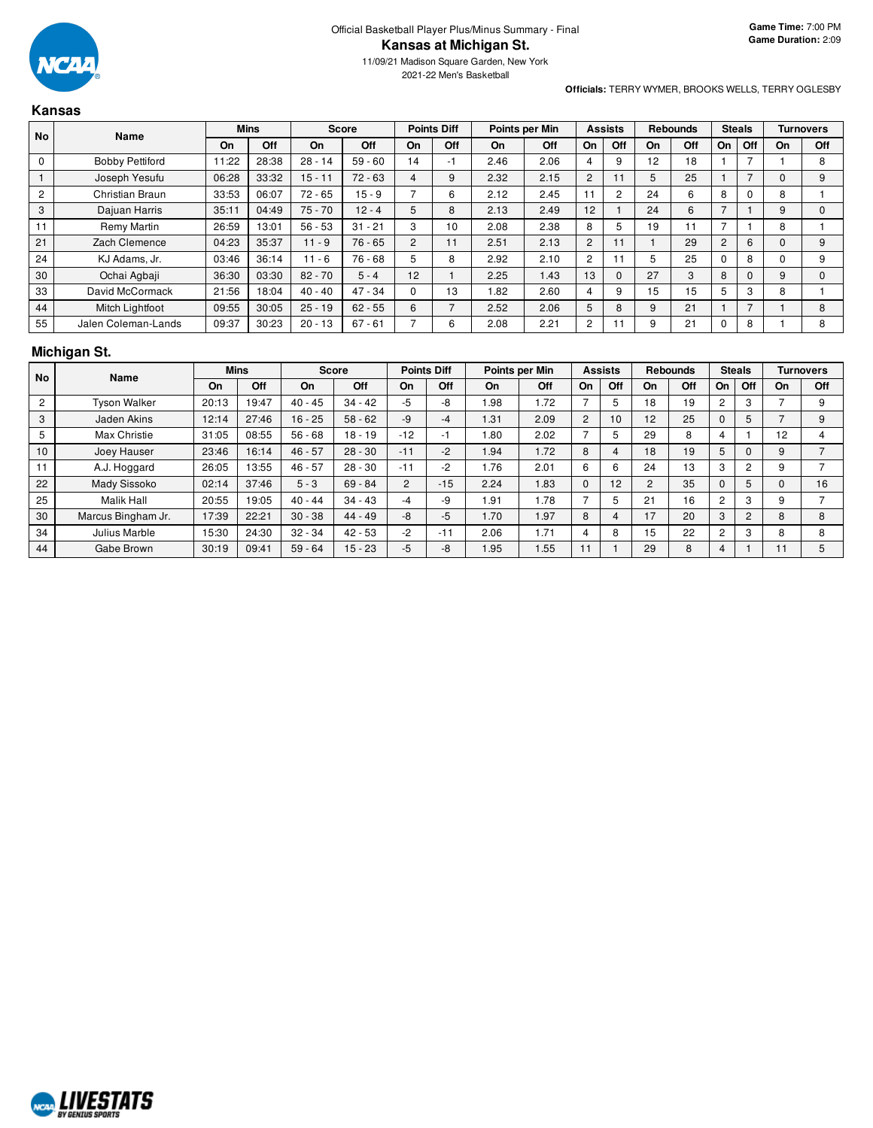

2021-22 Men's Basketball

#### **Officials:** TERRY WYMER, BROOKS WELLS, TERRY OGLESBY

|           | <b>Kansas</b>          |             |       |              |           |                    |     |                |      |                |     |                                |                 |    |               |    |                  |
|-----------|------------------------|-------------|-------|--------------|-----------|--------------------|-----|----------------|------|----------------|-----|--------------------------------|-----------------|----|---------------|----|------------------|
| <b>No</b> | <b>Name</b>            | <b>Mins</b> |       | <b>Score</b> |           | <b>Points Diff</b> |     | Points per Min |      | <b>Assists</b> |     |                                | <b>Rebounds</b> |    | <b>Steals</b> |    | <b>Turnovers</b> |
|           |                        | On          | Off   | On           | Off       | On                 | Off | On             | Off  | On             | Off | On                             | Off             | On | Off           | On | Off              |
| 0         | <b>Bobby Pettiford</b> | 11:22       | 28:38 | $28 - 14$    | $59 - 60$ | 14                 |     | 2.46           | 2.06 |                |     | 12<br>$\overline{\phantom{a}}$ | 18              |    |               |    | 8                |
|           | Joseph Yesufu          | 06:28       | 33:32 | $15 - 11$    | $72 - 63$ |                    | 9   | 2.32           | 2.15 | ົ              |     |                                | 25              |    |               |    | 9                |
|           | Christian Braun        | 33:53       | 06:07 | 72 - 65      | $15 - 9$  |                    | ь   | 2.12           | 2.45 |                |     | 24                             |                 | 8  |               |    |                  |

|                | Joseph Yesufu       | 06:28 | 33:32 | $15 - 11$ | $72 - 63$ | 4  | 9  | 2.32 | 2.15 | 2              |   | Ð  | 25 |   |   |   | 9 |
|----------------|---------------------|-------|-------|-----------|-----------|----|----|------|------|----------------|---|----|----|---|---|---|---|
| $\overline{c}$ | Christian Braun     | 33:53 | 06:07 | $72 - 65$ | $15 - 9$  |    | b  | 2.12 | 2.45 |                |   | 24 | b  | 8 |   |   |   |
| 3              | Dajuan Harris       | 35:11 | 04:49 | $75 - 70$ | $12 - 4$  |    | ŏ  | 2.13 | 2.49 | 12             |   | 24 | 6  |   |   |   |   |
|                | Remy Martin         | 26:59 | 13:01 | $56 - 53$ | $31 - 21$ | З  | 10 | 2.08 | 2.38 | 8              | 5 | 19 |    |   |   |   |   |
| 21             | Zach Clemence       | 04:23 | 35:37 | $11 - 9$  | $76 - 65$ | 2  |    | 2.51 | 2.13 | $\overline{2}$ |   |    | 29 |   | 6 |   | 9 |
| 24             | KJ Adams, Jr.       | 03:46 | 36:14 | $11 - 6$  | 76 - 68   | 5  |    | 2.92 | 2.10 | ົ              |   |    | 25 |   | 8 |   | 9 |
| 30             | Ochai Agbaji        | 36:30 | 03:30 | $82 - 70$ | $5 - 4$   | 12 |    | 2.25 | 1.43 | 13             |   | 27 | 3  | 8 |   | 9 |   |
| 33             | David McCormack     | 21:56 | 18:04 | $40 - 40$ | $47 - 34$ |    | 13 | 82.، | 2.60 |                | 9 | 15 | 15 |   | З | 8 |   |
| 44             | Mitch Lightfoot     | 09:55 | 30:05 | $25 - 19$ | $62 - 55$ | 6  |    | 2.52 | 2.06 |                | 8 | 9  | 21 |   |   |   | 8 |
| 55             | Jalen Coleman-Lands | 09:37 | 30:23 | $20 - 13$ | $67 - 61$ |    | ĸ  | 2.08 | 2.21 | $\sim$         |   |    | 21 |   | 8 |   | 8 |

## **Michigan St.**

| <b>No</b>      | Name                | <b>Mins</b> |       | <b>Score</b> |           | <b>Points Diff</b> |       | Points per Min |      | <b>Assists</b> |     | <b>Rebounds</b> |     | <b>Steals</b>  |                | <b>Turnovers</b> |     |
|----------------|---------------------|-------------|-------|--------------|-----------|--------------------|-------|----------------|------|----------------|-----|-----------------|-----|----------------|----------------|------------------|-----|
|                |                     | On          | Off   | <b>On</b>    | Off       | On                 | Off   | On             | Off  | On             | Off | On              | Off | On             | Off            | On               | Off |
| $\overline{2}$ | <b>Tyson Walker</b> | 20:13       | 19:47 | $40 - 45$    | $34 - 42$ | $-5$               | -8    | .98            | 1.72 |                |     | 18              | 19  | 2              | 3              |                  | 9   |
| 3              | Jaden Akins         | 12:14       | 27:46 | $16 - 25$    | $58 - 62$ | $-9$               | -4    | 1.31           | 2.09 | 2              | 10  | 12 <sup>2</sup> | 25  |                | 5              |                  | 9   |
| 5              | Max Christie        | 31:05       | 08:55 | $56 - 68$    | $18 - 19$ | $-12$              | -1    | .80            | 2.02 |                |     | 29              | 8   |                |                | 12               |     |
| 10             | Joey Hauser         | 23:46       | 16:14 | $46 - 57$    | $28 - 30$ | $-11$              | $-2$  | 1.94           | 1.72 | 8              | 4   | 18              | 19  | 5              | 0              | 9                |     |
| 11             | A.J. Hoggard        | 26:05       | 13:55 | $46 - 57$    | $28 - 30$ | $-11$              | $-2$  | 1.76           | 2.01 | 6              | 6   | 24              | 13  | 3              | $\overline{2}$ |                  |     |
| 22             | <b>Mady Sissoko</b> | 02:14       | 37:46 | $5 - 3$      | $69 - 84$ | $\overline{2}$     | $-15$ | 2.24           | 1.83 | $\Omega$       | 12  |                 | 35  |                | 5              |                  | 16  |
| 25             | <b>Malik Hall</b>   | 20:55       | 19:05 | $40 - 44$    | $34 - 43$ | -4                 | -9    | 1.91           | 1.78 |                | 5.  | 21              | 16  | 2              | 3              | 9                |     |
| 30             | Marcus Bingham Jr.  | 17:39       | 22:21 | $30 - 38$    | $44 - 49$ | $-8$               | $-5$  | .70            | 1.97 | 8              |     | 17              | 20  | 3              | $\overline{2}$ | 8                | 8   |
| 34             | Julius Marble       | 15:30       | 24:30 | $32 - 34$    | $42 - 53$ | $-2$               | $-11$ | 2.06           | .71  | 4              | 8   | 15              | 22  | $\overline{2}$ | 3              | 8                | 8   |
| 44             | Gabe Brown          | 30:19       | 09:41 | $59 - 64$    | $15 - 23$ | -5                 | -8    | 1.95           | 1.55 |                |     | 29              | 8   | 4              |                |                  | 5   |

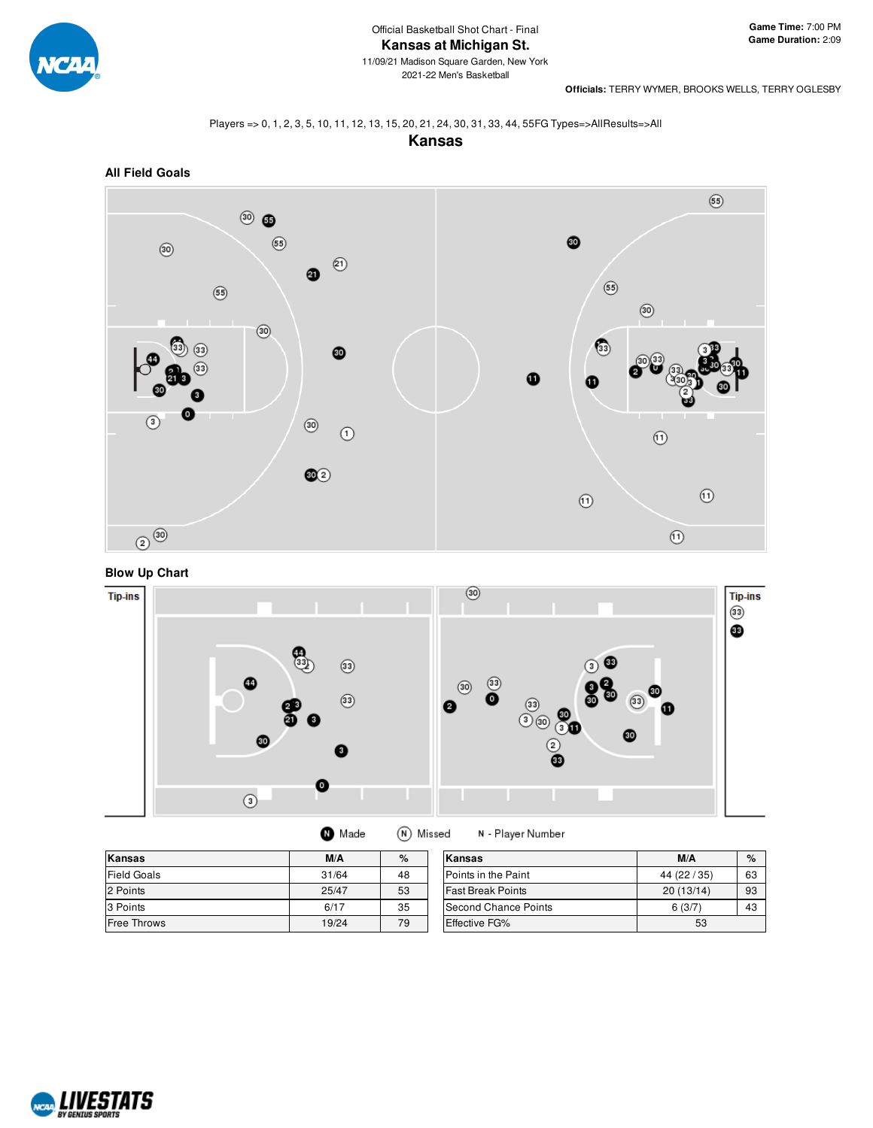

2021-22 Men's Basketball

**Officials:** TERRY WYMER, BROOKS WELLS, TERRY OGLESBY

#### Players => 0, 1, 2, 3, 5, 10, 11, 12, 13, 15, 20, 21, 24, 30, 31, 33, 44, 55FG Types=>AllResults=>All





# **Blow Up Chart**



| Kansas      | M/A   | %  | Kansas                   | M/A          | $\%$ |
|-------------|-------|----|--------------------------|--------------|------|
| Field Goals | 31/64 | 48 | Points in the Paint      | 44 (22 / 35) | 63   |
| 2 Points    | 25/47 | 53 | <b>Fast Break Points</b> | 20(13/14)    | 93   |
| 3 Points    | 6/17  | 35 | Second Chance Points     | 6(3/7)       | 43   |
| Free Throws | 19/24 | 79 | <b>Effective FG%</b>     | 53           |      |

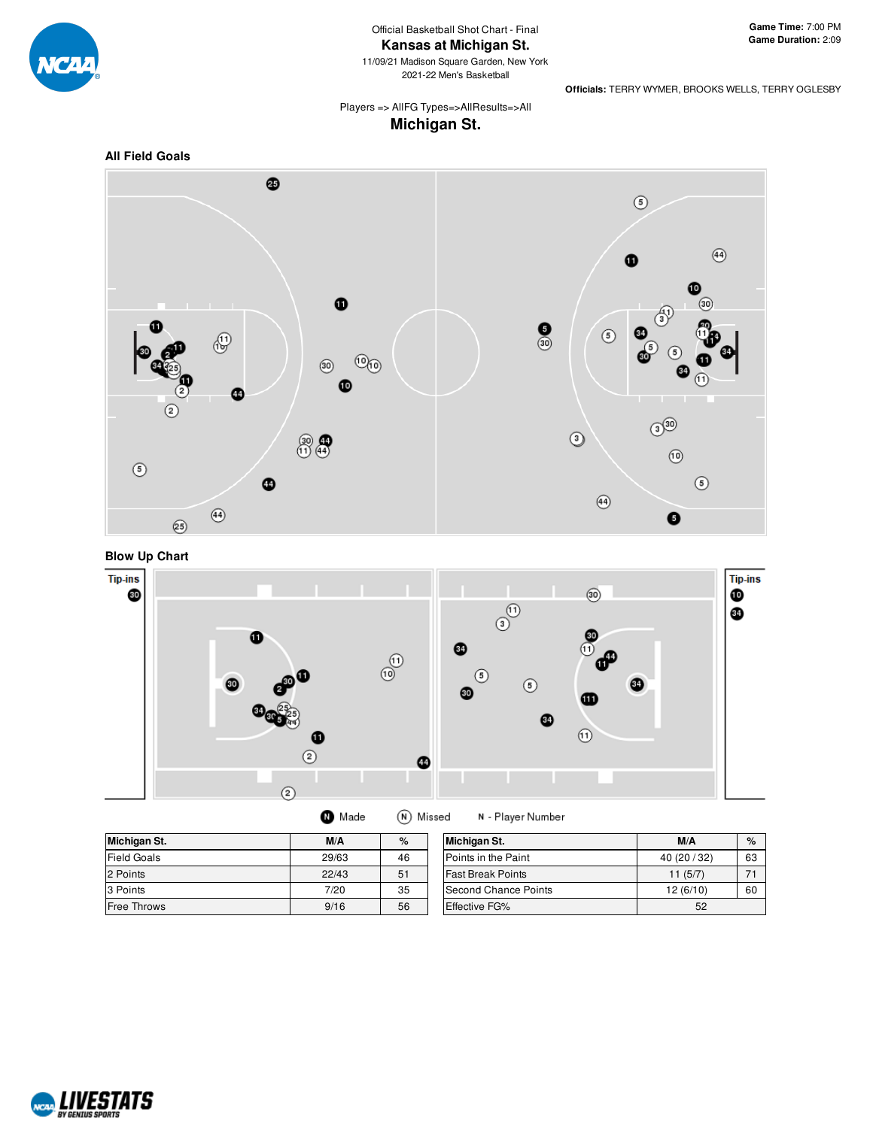

11/09/21 Madison Square Garden, New York 2021-22 Men's Basketball

**Officials:** TERRY WYMER, BROOKS WELLS, TERRY OGLESBY

Players => AllFG Types=>AllResults=>All **Michigan St.**







| Michigan St.       | M/A   | %  | Michigan St.             | M/A          | $\%$ |
|--------------------|-------|----|--------------------------|--------------|------|
| <b>Field Goals</b> | 29/63 | 46 | Points in the Paint      | 40 (20 / 32) | 63   |
| 2 Points           | 22/43 | 51 | <b>Fast Break Points</b> | 11(5/7)      | 71   |
| 3 Points           | 7/20  | 35 | Second Chance Points     | 12(6/10)     | 60   |
| Free Throws        | 9/16  | 56 | <b>Effective FG%</b>     | 52           |      |

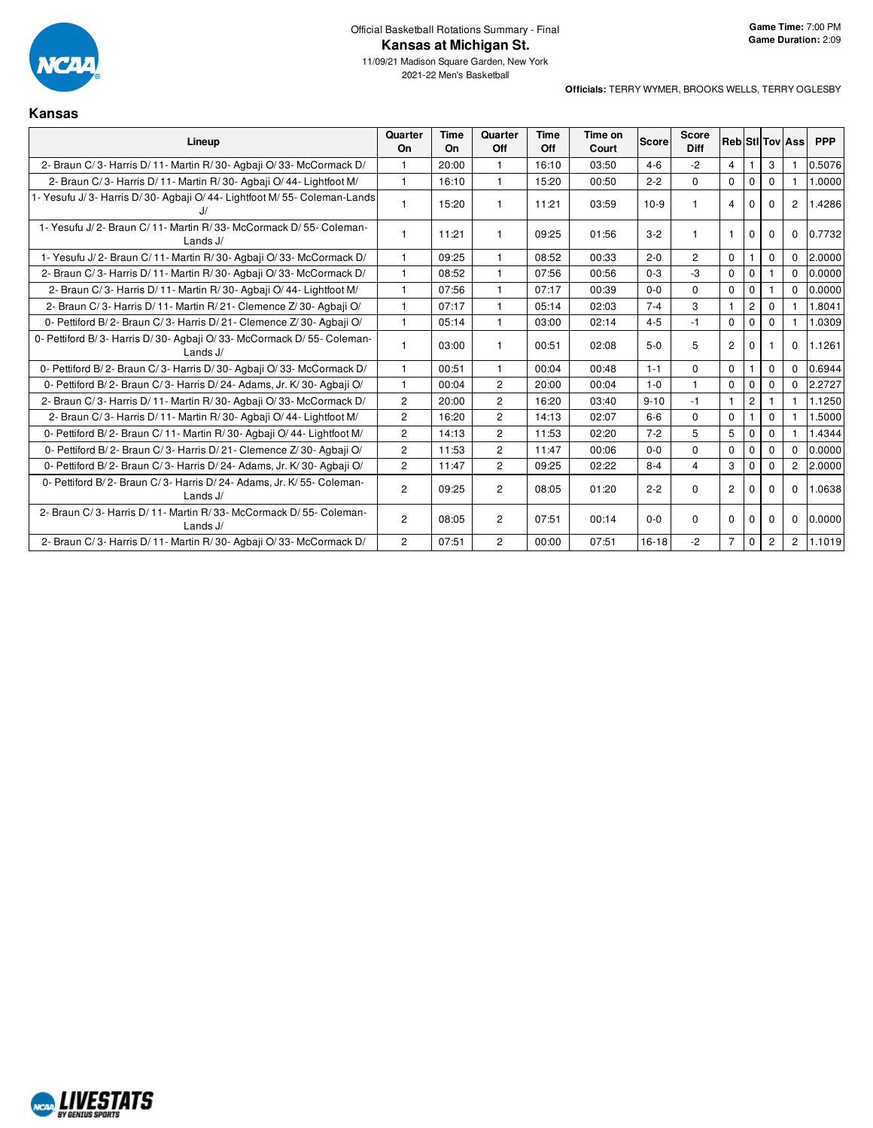

**Kansas**

| Lineup                                                                           | Quarter<br><b>On</b> | <b>Time</b><br><b>On</b> | Quarter<br>Off | <b>Time</b><br>Off | Time on<br>Court | <b>Score</b> | Score<br><b>Diff</b> |                |                |                | Reb StI Tov Ass | <b>PPP</b> |
|----------------------------------------------------------------------------------|----------------------|--------------------------|----------------|--------------------|------------------|--------------|----------------------|----------------|----------------|----------------|-----------------|------------|
| 2- Braun C/3- Harris D/11- Martin R/30- Agbaii O/33- McCormack D/                |                      | 20:00                    | 1              | 16:10              | 03:50            | $4 - 6$      | $-2$                 | $\overline{4}$ |                | 3              |                 | 0.5076     |
| 2- Braun C/3- Harris D/11- Martin R/30- Agbaji O/44- Lightfoot M/                | $\mathbf{1}$         | 16:10                    | $\mathbf{1}$   | 15:20              | 00:50            | $2 - 2$      | 0                    | $\mathbf 0$    | $\mathbf 0$    | $\Omega$       |                 | 1.0000     |
| 1- Yesufu J/3- Harris D/30- Agbaji O/44- Lightfoot M/55- Coleman-Lands           |                      | 15:20                    |                | 11:21              | 03:59            | $10-9$       |                      | $\overline{4}$ | $\Omega$       | $\Omega$       | $\overline{c}$  | 1.4286     |
| 1- Yesufu J/2- Braun C/11- Martin R/33- McCormack D/55- Coleman-<br>Lands J/     | $\mathbf{1}$         | 11:21                    |                | 09:25              | 01:56            | $3 - 2$      |                      | 1              | 0              | $\Omega$       | 0               | 0.7732     |
| 1- Yesufu J/2- Braun C/11- Martin R/30- Agbaji O/33- McCormack D/                | $\mathbf{1}$         | 09:25                    | $\mathbf{1}$   | 08:52              | 00:33            | $2 - 0$      | $\overline{2}$       | $\mathbf 0$    |                | $\mathbf 0$    | $\Omega$        | 2.0000     |
| 2- Braun C/3- Harris D/11- Martin R/30- Agbaii O/33- McCormack D/                | $\mathbf{1}$         | 08:52                    | $\mathbf{1}$   | 07:56              | 00:56            | $0 - 3$      | $-3$                 | $\mathbf 0$    | 0              |                | $\Omega$        | 0.0000     |
| 2- Braun C/3- Harris D/11- Martin R/30- Agbaii O/44- Lightfoot M/                | $\mathbf{1}$         | 07:56                    |                | 07:17              | 00:39            | $0 - 0$      | $\Omega$             | $\mathbf 0$    | $\mathbf 0$    |                | $\Omega$        | 0.0000     |
| 2- Braun C/3- Harris D/11- Martin R/21- Clemence Z/30- Agbaii O/                 | $\mathbf{1}$         | 07:17                    | $\mathbf{1}$   | 05:14              | 02:03            | $7 - 4$      | 3                    | 1              | $\overline{2}$ | $\Omega$       |                 | 1.8041     |
| 0- Pettiford B/2- Braun C/3- Harris D/21- Clemence Z/30- Agbaji O/               | $\mathbf{1}$         | 05:14                    | $\mathbf{1}$   | 03:00              | 02:14            | $4 - 5$      | $-1$                 | $\Omega$       | $\Omega$       | $\Omega$       |                 | 1.0309     |
| 0- Pettiford B/3- Harris D/30- Agbaji O/33- McCormack D/55- Coleman-<br>Lands J/ |                      | 03:00                    |                | 00:51              | 02:08            | $5-0$        | 5                    | $\overline{2}$ | $\Omega$       |                | $\Omega$        | 1.1261     |
| 0- Pettiford B/2- Braun C/3- Harris D/30- Agbaji O/33- McCormack D/              | $\mathbf{1}$         | 00:51                    |                | 00:04              | 00:48            | $1 - 1$      | 0                    | $\mathbf 0$    |                | $\Omega$       | $\Omega$        | 0.6944     |
| 0- Pettiford B/2- Braun C/3- Harris D/24- Adams, Jr. K/30- Agbaji O/             | $\mathbf{1}$         | 00:04                    | $\overline{2}$ | 20:00              | 00:04            | $1 - 0$      | $\mathbf{1}$         | $\mathbf 0$    | $\mathbf 0$    | $\mathbf 0$    | $\Omega$        | 2.2727     |
| 2- Braun C/3- Harris D/11- Martin R/30- Agbaji O/33- McCormack D/                | $\overline{2}$       | 20:00                    | $\overline{2}$ | 16:20              | 03:40            | $9 - 10$     | $-1$                 | $\mathbf{1}$   | $\overline{c}$ |                |                 | 1.1250     |
| 2- Braun C/3- Harris D/11- Martin R/30- Agbaji O/44- Lightfoot M/                | $\overline{2}$       | 16:20                    | $\overline{2}$ | 14:13              | 02:07            | $6-6$        | $\Omega$             | $\mathbf 0$    |                | $\mathbf{0}$   |                 | 1.5000     |
| 0- Pettiford B/2- Braun C/11- Martin R/30- Agbaji O/44- Lightfoot M/             | $\mathbf{2}$         | 14:13                    | $\overline{2}$ | 11:53              | 02:20            | $7 - 2$      | 5                    | 5              | $\mathbf 0$    | $\Omega$       |                 | 1.4344     |
| 0- Pettiford B/2- Braun C/3- Harris D/21- Clemence Z/30- Agbaji O/               | $\overline{2}$       | 11:53                    | $\overline{2}$ | 11:47              | 00:06            | $0 - 0$      | $\Omega$             | $\Omega$       | $\mathbf 0$    | $\Omega$       | $\Omega$        | 0.0000     |
| 0- Pettiford B/2- Braun C/3- Harris D/24- Adams, Jr. K/30- Agbaji O/             | $\overline{2}$       | 11:47                    | $\overline{2}$ | 09:25              | 02:22            | $8 - 4$      | $\overline{4}$       | 3              | $\mathbf 0$    | 0              | $\overline{c}$  | 2.0000     |
| 0- Pettiford B/2- Braun C/3- Harris D/24- Adams, Jr. K/55- Coleman-<br>Lands J/  | $\overline{2}$       | 09:25                    | $\overline{2}$ | 08:05              | 01:20            | $2 - 2$      | $\Omega$             | $\overline{2}$ | $\Omega$       | $\Omega$       | $\Omega$        | 1.0638     |
| 2- Braun C/3- Harris D/11- Martin R/33- McCormack D/55- Coleman-<br>Lands J/     | $\mathbf{2}$         | 08:05                    | $\overline{c}$ | 07:51              | 00:14            | $0-0$        | 0                    | 0              | 0              | $\Omega$       | 0               | 0.0000     |
| 2- Braun C/3- Harris D/11- Martin R/30- Agbaii O/33- McCormack D/                | $\overline{2}$       | 07:51                    | $\overline{2}$ | 00:00              | 07:51            | $16-18$      | $-2$                 | $\overline{7}$ | $\mathbf 0$    | $\overline{2}$ | $\overline{2}$  | 1.1019     |

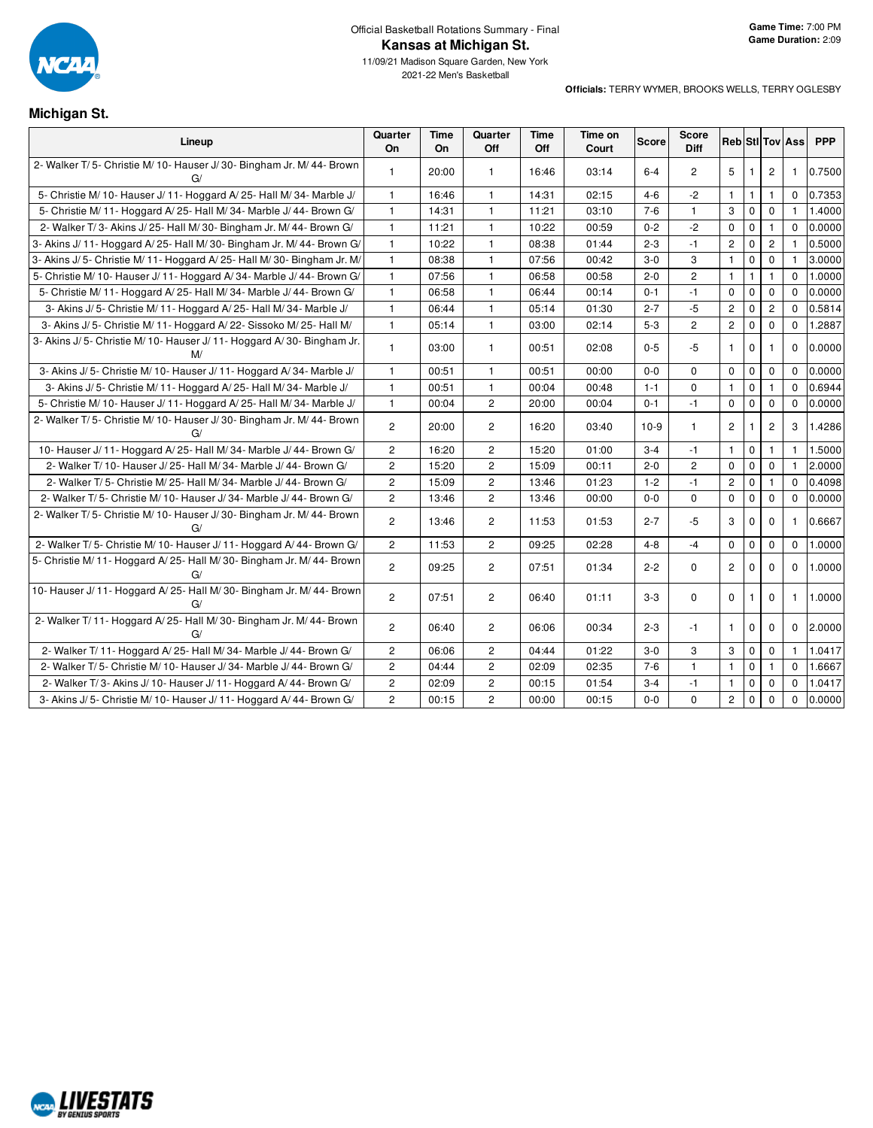

### **Michigan St.**

| Lineup                                                                        | Quarter<br><b>On</b> | <b>Time</b><br>On | Quarter<br>Off | Time<br>Off | Time on<br>Court | <b>Score</b> | Score<br><b>Diff</b> |                |              |                | <b>Reb</b> StI Tov Ass | <b>PPP</b> |
|-------------------------------------------------------------------------------|----------------------|-------------------|----------------|-------------|------------------|--------------|----------------------|----------------|--------------|----------------|------------------------|------------|
| 2- Walker T/5- Christie M/10- Hauser J/30- Bingham Jr. M/44- Brown<br>G/      | $\mathbf{1}$         | 20:00             | $\mathbf{1}$   | 16:46       | 03:14            | $6 - 4$      | 2                    | 5              |              | 2              | 1                      | 0.7500     |
| 5- Christie M/ 10- Hauser J/ 11- Hoggard A/ 25- Hall M/ 34- Marble J/         | $\mathbf{1}$         | 16:46             | $\mathbf{1}$   | 14:31       | 02:15            | $4 - 6$      | $-2$                 | $\mathbf{1}$   | $\mathbf{1}$ | $\mathbf{1}$   | $\Omega$               | 0.7353     |
| 5- Christie M/ 11- Hoggard A/ 25- Hall M/ 34- Marble J/ 44- Brown G/          | $\mathbf{1}$         | 14:31             | $\mathbf{1}$   | 11:21       | 03:10            | $7 - 6$      | $\mathbf{1}$         | 3              | $\mathbf 0$  | $\mathbf 0$    | $\mathbf{1}$           | 1.4000     |
| 2- Walker T/3- Akins J/25- Hall M/30- Bingham Jr. M/44- Brown G/              | $\mathbf{1}$         | 11:21             | $\mathbf{1}$   | 10:22       | 00:59            | $0 - 2$      | $-2$                 | 0              | $\pmb{0}$    | $\mathbf{1}$   | $\Omega$               | 0.0000     |
| 3- Akins J/ 11- Hoggard A/ 25- Hall M/ 30- Bingham Jr. M/ 44- Brown G/        | $\mathbf{1}$         | 10:22             | $\mathbf{1}$   | 08:38       | 01:44            | $2 - 3$      | $-1$                 | $\overline{c}$ | $\mathbf 0$  | $\overline{c}$ | $\mathbf{1}$           | 0.5000     |
| 3- Akins J/ 5- Christie M/ 11- Hoggard A/ 25- Hall M/ 30- Bingham Jr. M/      | $\mathbf{1}$         | 08:38             | $\mathbf{1}$   | 07:56       | 00:42            | $3-0$        | 3                    | $\mathbf{1}$   | $\mathbf 0$  | $\mathbf 0$    | 1                      | 3.0000     |
| 5- Christie M/ 10- Hauser J/ 11- Hoggard A/ 34- Marble J/ 44- Brown G/        | $\mathbf{1}$         | 07:56             | $\mathbf{1}$   | 06:58       | 00:58            | $2 - 0$      | $\overline{2}$       | $\mathbf{1}$   | $\mathbf{1}$ | $\mathbf{1}$   | $\Omega$               | 1.0000     |
| 5- Christie M/11- Hoggard A/25- Hall M/34- Marble J/44- Brown G/              | $\mathbf{1}$         | 06:58             | $\mathbf{1}$   | 06:44       | 00:14            | $0 - 1$      | $-1$                 | $\mathbf 0$    | $\mathbf 0$  | $\mathbf 0$    | $\Omega$               | 0.0000     |
| 3- Akins J/ 5- Christie M/ 11- Hoggard A/ 25- Hall M/ 34- Marble J/           | $\mathbf{1}$         | 06:44             | $\mathbf{1}$   | 05:14       | 01:30            | $2 - 7$      | $-5$                 | $\overline{c}$ | $\mathbf 0$  | $\overline{2}$ | $\mathbf 0$            | 0.5814     |
| 3- Akins J/ 5- Christie M/ 11- Hoggard A/ 22- Sissoko M/ 25- Hall M/          | $\mathbf{1}$         | 05:14             | $\mathbf{1}$   | 03:00       | 02:14            | $5 - 3$      | $\overline{2}$       | $\overline{c}$ | $\mathbf 0$  | $\mathbf 0$    | $\mathbf 0$            | 1.2887     |
| 3- Akins J/ 5- Christie M/ 10- Hauser J/ 11- Hoggard A/ 30- Bingham Jr.<br>M/ | $\mathbf{1}$         | 03:00             | $\mathbf{1}$   | 00:51       | 02:08            | $0 - 5$      | -5                   | $\mathbf{1}$   | $\mathbf 0$  | 1              | $\Omega$               | 0.0000     |
| 3- Akins J/5- Christie M/10- Hauser J/11- Hoggard A/34- Marble J/             | $\mathbf{1}$         | 00:51             | $\mathbf{1}$   | 00:51       | 00:00            | $0 - 0$      | $\Omega$             | $\Omega$       | $\mathbf 0$  | $\mathbf 0$    | $\Omega$               | 0.0000     |
| 3- Akins J/ 5- Christie M/ 11- Hoggard A/ 25- Hall M/ 34- Marble J/           | $\mathbf{1}$         | 00:51             | $\mathbf{1}$   | 00:04       | 00:48            | $1 - 1$      | $\Omega$             | $\mathbf{1}$   | $\mathbf 0$  | 1              | $\Omega$               | 0.6944     |
| 5- Christie M/ 10- Hauser J/ 11- Hoggard A/ 25- Hall M/ 34- Marble J/         | $\mathbf{1}$         | 00:04             | $\overline{c}$ | 20:00       | 00:04            | $0 - 1$      | $-1$                 | 0              | $\mathbf 0$  | $\mathbf 0$    | $\mathbf 0$            | 0.0000     |
| 2- Walker T/5- Christie M/10- Hauser J/30- Bingham Jr. M/44- Brown<br>G/      | $\overline{2}$       | 20:00             | $\overline{c}$ | 16:20       | 03:40            | $10-9$       | $\mathbf{1}$         | $\overline{2}$ | 1            | $\overline{2}$ | 3                      | 1.4286     |
| 10- Hauser J/ 11- Hoggard A/ 25- Hall M/ 34- Marble J/ 44- Brown G/           | $\overline{c}$       | 16:20             | $\overline{2}$ | 15:20       | 01:00            | $3 - 4$      | $-1$                 | $\mathbf{1}$   | $\mathbf 0$  | $\mathbf{1}$   | $\mathbf{1}$           | 1.5000     |
| 2- Walker T/ 10- Hauser J/ 25- Hall M/ 34- Marble J/ 44- Brown G/             | $\overline{c}$       | 15:20             | $\overline{2}$ | 15:09       | 00:11            | $2 - 0$      | $\overline{2}$       | $\mathbf 0$    | $\mathbf 0$  | $\mathbf 0$    | 1                      | 2.0000     |
| 2- Walker T/5- Christie M/25- Hall M/34- Marble J/44- Brown G/                | $\overline{c}$       | 15:09             | $\mathbf{2}$   | 13:46       | 01:23            | $1 - 2$      | $-1$                 | $\overline{c}$ | $\mathbf 0$  | $\mathbf{1}$   | $\Omega$               | 0.4098     |
| 2- Walker T/5- Christie M/10- Hauser J/34- Marble J/44- Brown G/              | $\overline{c}$       | 13:46             | $\overline{c}$ | 13:46       | 00:00            | $0 - 0$      | $\mathbf 0$          | $\mathbf 0$    | $\mathbf 0$  | $\mathbf 0$    | $\mathbf 0$            | 0.0000     |
| 2- Walker T/5- Christie M/10- Hauser J/30- Bingham Jr. M/44- Brown<br>G/      | $\overline{2}$       | 13:46             | $\overline{c}$ | 11:53       | 01:53            | $2 - 7$      | $-5$                 | 3              | $\mathbf{0}$ | $\mathbf 0$    | $\mathbf{1}$           | 0.6667     |
| 2- Walker T/5- Christie M/10- Hauser J/11- Hoggard A/44- Brown G/             | $\overline{2}$       | 11:53             | $\overline{2}$ | 09:25       | 02:28            | $4 - 8$      | $-4$                 | $\mathbf 0$    | $\mathbf 0$  | $\mathbf 0$    | $\mathbf 0$            | 1.0000     |
| 5- Christie M/ 11- Hoggard A/ 25- Hall M/ 30- Bingham Jr. M/ 44- Brown<br>G/  | $\overline{c}$       | 09:25             | $\overline{c}$ | 07:51       | 01:34            | $2 - 2$      | $\mathbf 0$          | $\mathbf{2}$   | $\mathbf 0$  | $\mathbf 0$    | $\mathbf 0$            | 1.0000     |
| 10- Hauser J/11- Hoggard A/25- Hall M/30- Bingham Jr. M/44- Brown<br>G/       | $\overline{c}$       | 07:51             | $\overline{2}$ | 06:40       | 01:11            | $3-3$        | 0                    | $\mathbf 0$    | $\mathbf{1}$ | $\Omega$       | $\mathbf{1}$           | 1.0000     |
| 2- Walker T/ 11- Hoggard A/ 25- Hall M/ 30- Bingham Jr. M/ 44- Brown<br>G/    | $\overline{2}$       | 06:40             | 2              | 06:06       | 00:34            | $2 - 3$      | $-1$                 | $\mathbf{1}$   | $\mathbf 0$  | $\Omega$       | $\Omega$               | 2.0000     |
| 2- Walker T/ 11- Hoggard A/ 25- Hall M/ 34- Marble J/ 44- Brown G/            | $\overline{c}$       | 06:06             | $\overline{c}$ | 04:44       | 01:22            | $3-0$        | 3                    | 3              | $\mathbf 0$  | $\mathbf 0$    | $\mathbf{1}$           | 1.0417     |
| 2- Walker T/5- Christie M/10- Hauser J/34- Marble J/44- Brown G/              | $\overline{2}$       | 04:44             | $\mathbf{2}$   | 02:09       | 02:35            | $7-6$        | $\mathbf{1}$         | $\mathbf{1}$   | $\mathbf 0$  | $\mathbf{1}$   | $\Omega$               | 1.6667     |
| 2- Walker T/3- Akins J/10- Hauser J/11- Hoggard A/44- Brown G/                | $\overline{2}$       | 02:09             | $\mathbf{2}$   | 00:15       | 01:54            | $3 - 4$      | $-1$                 | $\mathbf{1}$   | $\mathbf 0$  | $\mathbf 0$    | $\Omega$               | 1.0417     |
| 3- Akins J/5- Christie M/10- Hauser J/11- Hoggard A/44- Brown G/              | $\overline{c}$       | 00:15             | 2              | 00:00       | 00:15            | $0 - 0$      | $\mathbf 0$          | $\overline{c}$ | $\mathbf 0$  | $\mathbf 0$    | $\mathbf 0$            | 0.0000     |

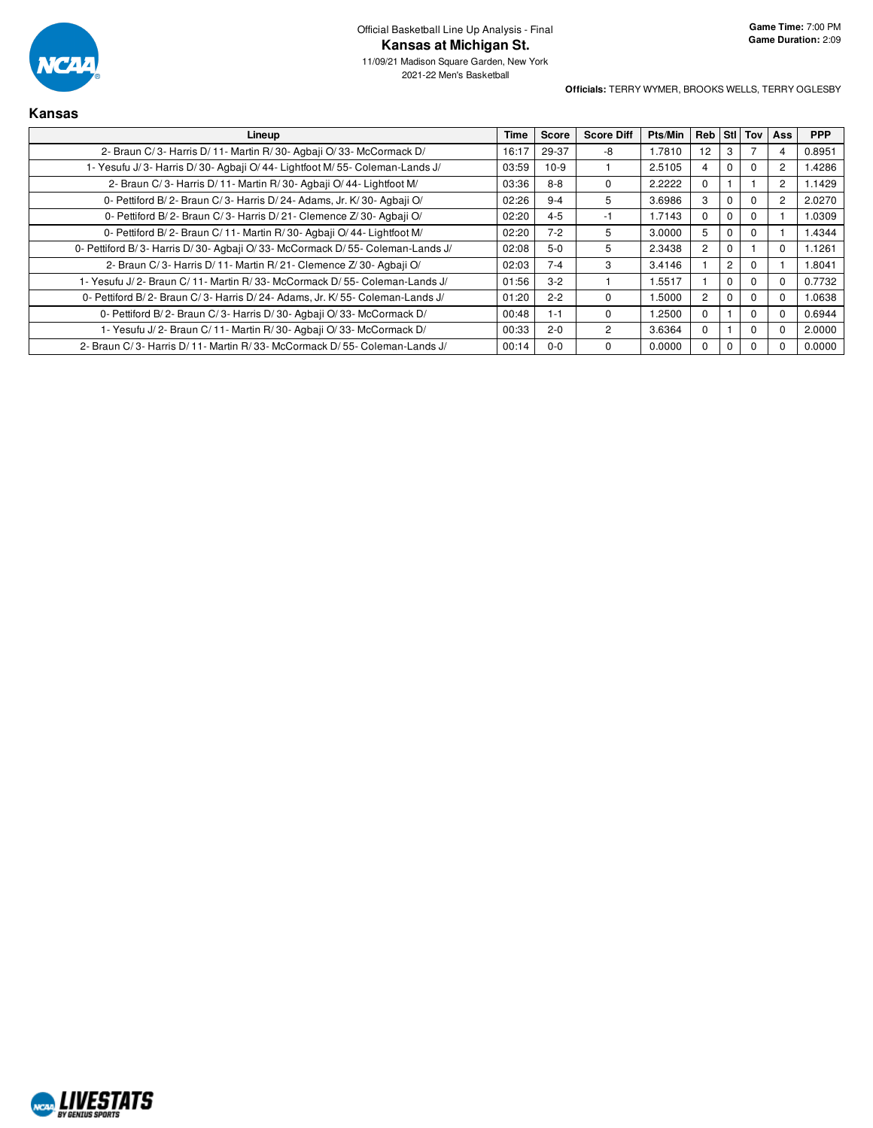

**Kansas**

11/09/21 Madison Square Garden, New York 2021-22 Men's Basketball

| Lineup                                                                       | <b>Time</b> | <b>Score</b> | <b>Score Diff</b> | Pts/Min | Reb Stl Tov    |             |             | Ass      | <b>PPP</b> |
|------------------------------------------------------------------------------|-------------|--------------|-------------------|---------|----------------|-------------|-------------|----------|------------|
| 2- Braun C/3- Harris D/11- Martin R/30- Agbaji O/33- McCormack D/            | 16:17       | 29-37        | -8                | 1.7810  | 12             | 3           |             |          | 0.8951     |
| 1- Yesufu J/3- Harris D/30- Agbaji O/44- Lightfoot M/55- Coleman-Lands J/    | 03:59       | $10-9$       |                   | 2.5105  | 4              | 0           | $\Omega$    | 2        | 1.4286     |
| 2- Braun C/3- Harris D/11- Martin R/30- Agbaji O/44- Lightfoot M/            | 03:36       | $8 - 8$      | 0                 | 2.2222  | 0              |             |             | 2        | 1.1429     |
| 0- Pettiford B/2- Braun C/3- Harris D/24- Adams, Jr. K/30- Agbaji O/         | 02:26       | $9 - 4$      | 5                 | 3.6986  | 3              | 0           | 0           | 2        | 2.0270     |
| 0- Pettiford B/2- Braun C/3- Harris D/21- Clemence Z/30- Agbaji O/           | 02:20       | $4 - 5$      | -1                | 1.7143  | 0              | $\mathbf 0$ | $\Omega$    |          | 1.0309     |
| 0- Pettiford B/2- Braun C/11- Martin R/30- Agbaji O/44- Lightfoot M/         | 02:20       | $7 - 2$      | 5                 | 3.0000  | 5              | 0           | $\Omega$    |          | 1.4344     |
| 0- Pettiford B/3- Harris D/30- Agbaji O/33- McCormack D/55- Coleman-Lands J/ | 02:08       | $5-0$        | 5                 | 2.3438  | $\overline{2}$ | 0           |             |          | 1.1261     |
| 2- Braun C/3- Harris D/11- Martin R/21- Clemence Z/30- Agbaji O/             | 02:03       | $7 - 4$      | 3                 | 3.4146  |                | 2           | 0           |          | 1.8041     |
| 1- Yesufu J/2- Braun C/11- Martin R/33- McCormack D/55- Coleman-Lands J/     | 01:56       | $3 - 2$      |                   | 1.5517  |                | 0           | 0           |          | 0.7732     |
| 0- Pettiford B/2- Braun C/3- Harris D/24- Adams, Jr. K/55- Coleman-Lands J/  | 01:20       | $2 - 2$      | $\Omega$          | 1.5000  | $\overline{c}$ | 0           | $\mathbf 0$ |          | 1.0638     |
| 0- Pettiford B/2- Braun C/3- Harris D/30- Agbaii O/33- McCormack D/          | 00:48       | $1 - 1$      | 0                 | 1.2500  | 0              |             | $\mathbf 0$ | $\Omega$ | 0.6944     |
| 1- Yesufu J/2- Braun C/11- Martin R/30- Agbaii O/33- McCormack D/            | 00:33       | $2 - 0$      | 2                 | 3.6364  | 0              |             | 0           |          | 2.0000     |
| 2- Braun C/3- Harris D/11- Martin R/33- McCormack D/55- Coleman-Lands J/     | 00:14       | $0 - 0$      |                   | 0.0000  | 0              | 0           | $\Omega$    |          | 0.0000     |